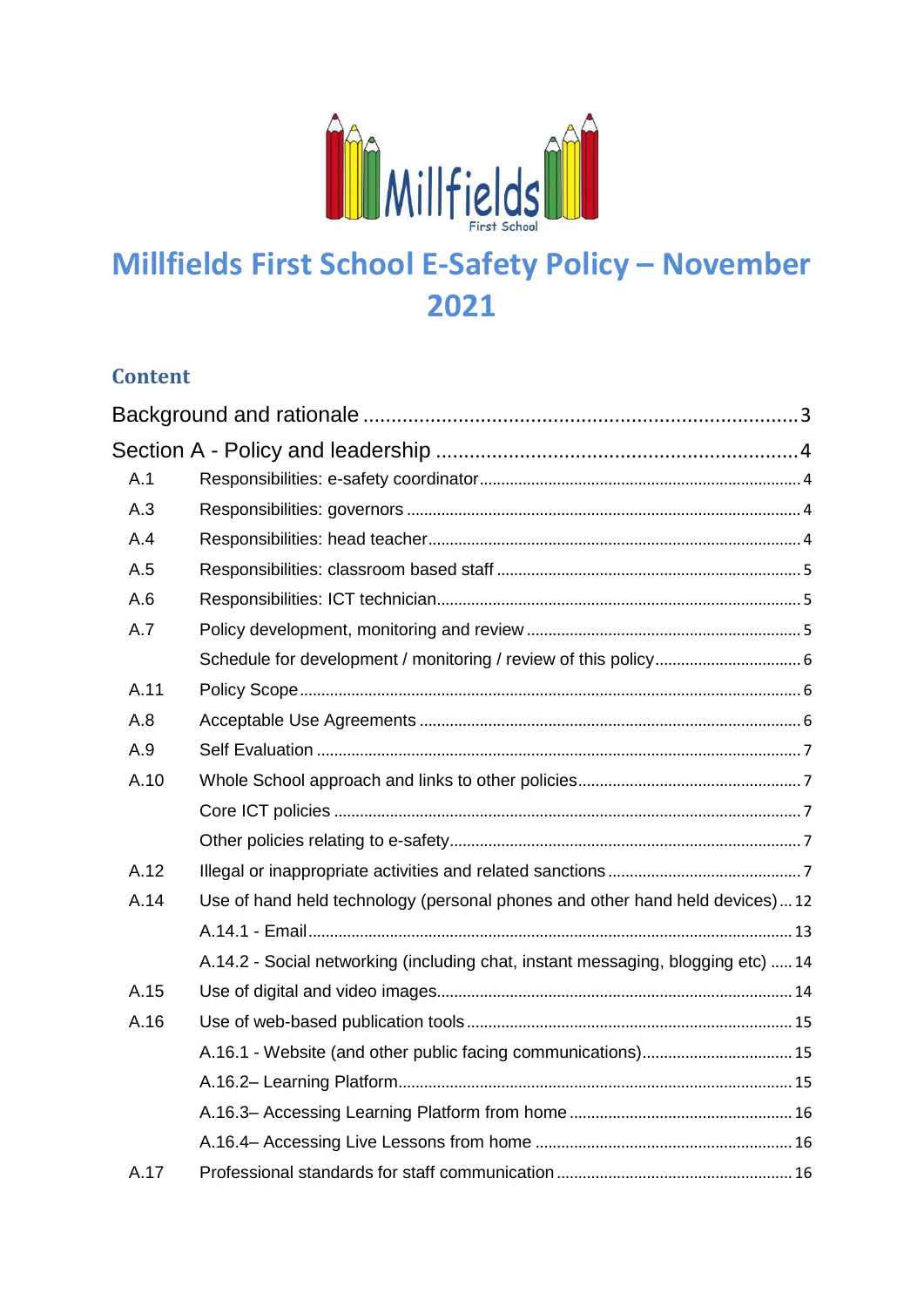

# **Millfields First School E-Safety Policy – November 2021**

#### **Content**

| A.1  |                                                                                  |
|------|----------------------------------------------------------------------------------|
| A.3  |                                                                                  |
| A.4  |                                                                                  |
| A.5  |                                                                                  |
| A.6  |                                                                                  |
| A.7  |                                                                                  |
|      |                                                                                  |
| A.11 |                                                                                  |
| A.8  |                                                                                  |
| A.9  |                                                                                  |
| A.10 |                                                                                  |
|      |                                                                                  |
|      |                                                                                  |
| A.12 |                                                                                  |
| A.14 | Use of hand held technology (personal phones and other hand held devices)12      |
|      |                                                                                  |
|      | A.14.2 - Social networking (including chat, instant messaging, blogging etc)  14 |
| A.15 |                                                                                  |
| A.16 |                                                                                  |
|      |                                                                                  |
|      |                                                                                  |
|      |                                                                                  |
|      |                                                                                  |
| A.17 |                                                                                  |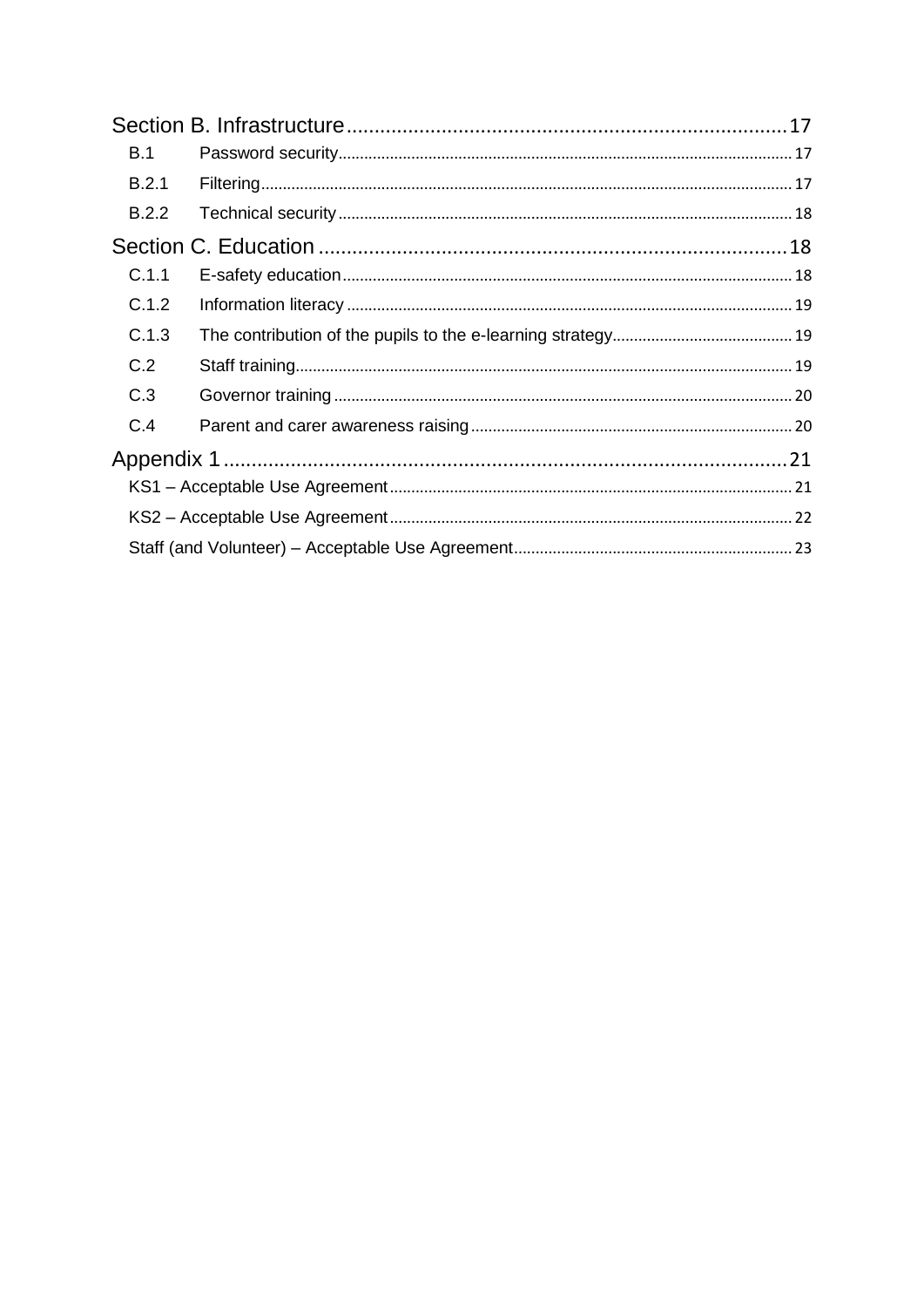| <b>B.1</b> |  |
|------------|--|
| B.2.1      |  |
| B.2.2      |  |
|            |  |
| C.1.1      |  |
| C.1.2      |  |
| C.1.3      |  |
| C.2        |  |
| C.3        |  |
| C.4        |  |
|            |  |
|            |  |
|            |  |
|            |  |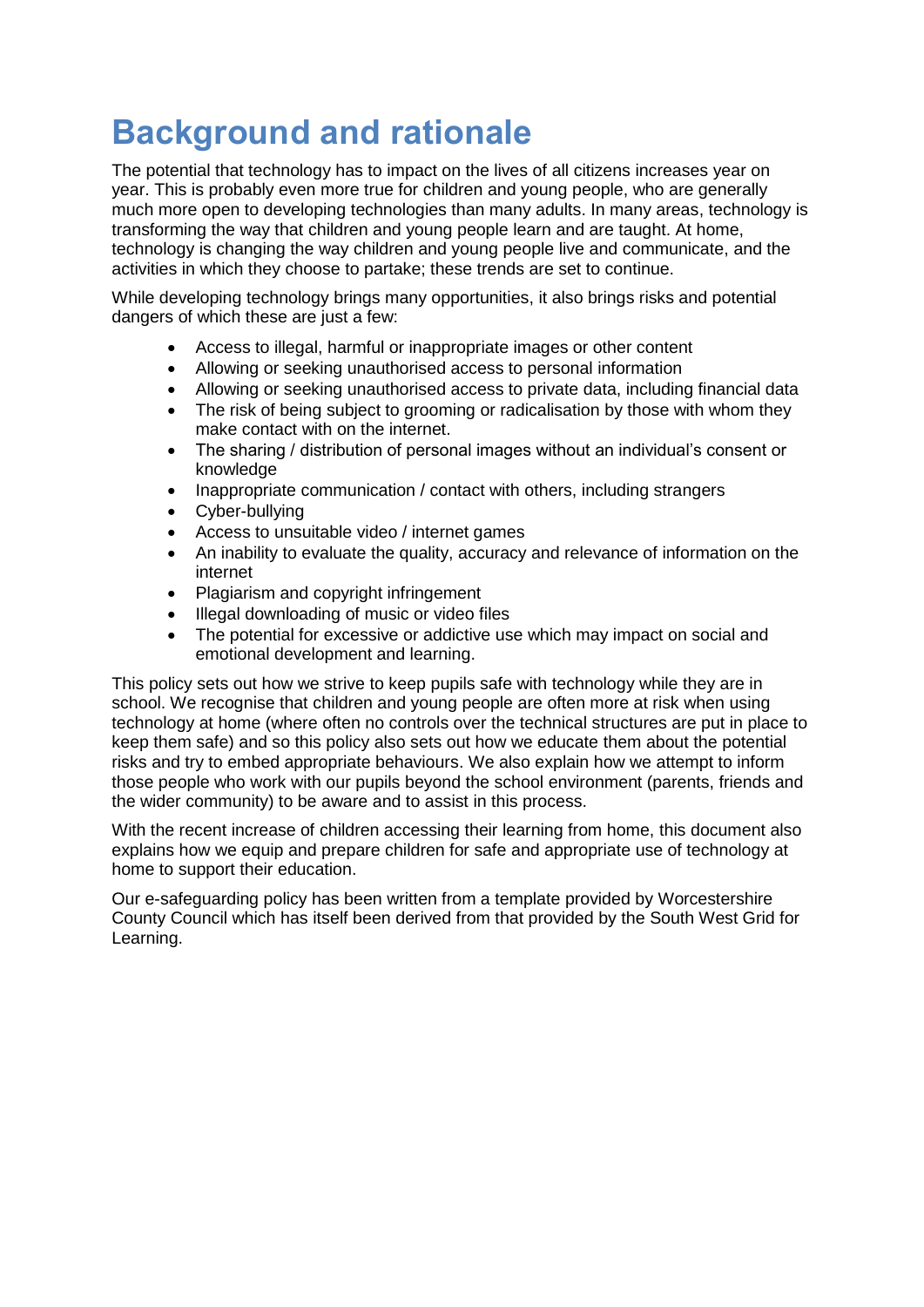# <span id="page-2-0"></span>**Background and rationale**

The potential that technology has to impact on the lives of all citizens increases year on year. This is probably even more true for children and young people, who are generally much more open to developing technologies than many adults. In many areas, technology is transforming the way that children and young people learn and are taught. At home, technology is changing the way children and young people live and communicate, and the activities in which they choose to partake; these trends are set to continue.

While developing technology brings many opportunities, it also brings risks and potential dangers of which these are just a few:

- Access to illegal, harmful or inappropriate images or other content
- Allowing or seeking unauthorised access to personal information
- Allowing or seeking unauthorised access to private data, including financial data
- The risk of being subject to grooming or radicalisation by those with whom they make contact with on the internet.
- The sharing / distribution of personal images without an individual's consent or knowledge
- Inappropriate communication / contact with others, including strangers
- Cyber-bullying
- Access to unsuitable video / internet games
- An inability to evaluate the quality, accuracy and relevance of information on the internet
- Plagiarism and copyright infringement
- Illegal downloading of music or video files
- The potential for excessive or addictive use which may impact on social and emotional development and learning.

This policy sets out how we strive to keep pupils safe with technology while they are in school. We recognise that children and young people are often more at risk when using technology at home (where often no controls over the technical structures are put in place to keep them safe) and so this policy also sets out how we educate them about the potential risks and try to embed appropriate behaviours. We also explain how we attempt to inform those people who work with our pupils beyond the school environment (parents, friends and the wider community) to be aware and to assist in this process.

With the recent increase of children accessing their learning from home, this document also explains how we equip and prepare children for safe and appropriate use of technology at home to support their education.

Our e-safeguarding policy has been written from a template provided by Worcestershire County Council which has itself been derived from that provided by the South West Grid for Learning.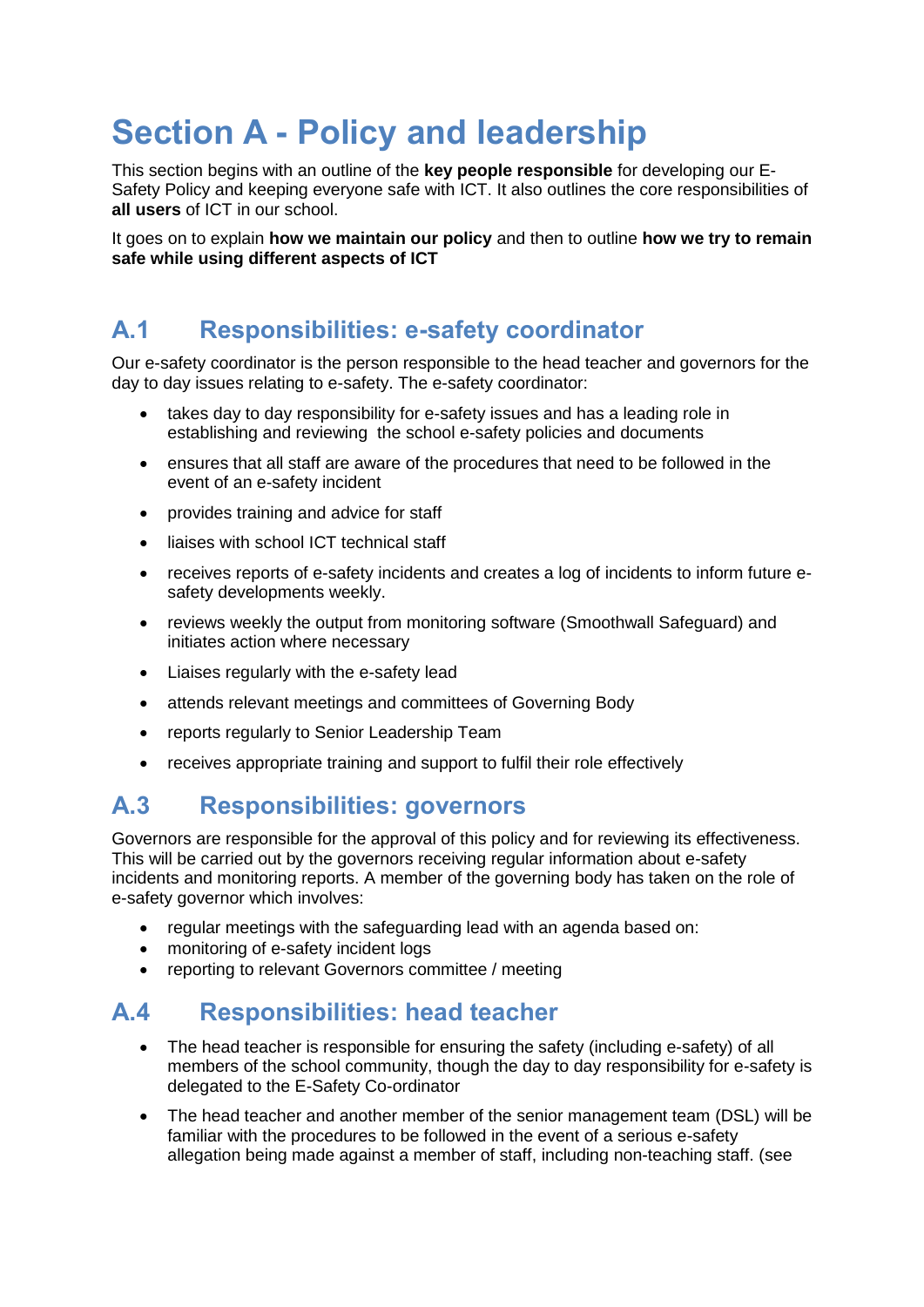# <span id="page-3-0"></span>**Section A - Policy and leadership**

This section begins with an outline of the **key people responsible** for developing our E-Safety Policy and keeping everyone safe with ICT. It also outlines the core responsibilities of **all users** of ICT in our school.

It goes on to explain **how we maintain our policy** and then to outline **how we try to remain safe while using different aspects of ICT**

## <span id="page-3-1"></span>**A.1 Responsibilities: e-safety coordinator**

Our e-safety coordinator is the person responsible to the head teacher and governors for the day to day issues relating to e-safety. The e-safety coordinator:

- takes day to day responsibility for e-safety issues and has a leading role in establishing and reviewing the school e-safety policies and documents
- ensures that all staff are aware of the procedures that need to be followed in the event of an e-safety incident
- provides training and advice for staff
- liaises with school ICT technical staff
- receives reports of e-safety incidents and creates a log of incidents to inform future esafety developments weekly.
- reviews weekly the output from monitoring software (Smoothwall Safeguard) and initiates action where necessary
- Liaises regularly with the e-safety lead
- attends relevant meetings and committees of Governing Body
- reports regularly to Senior Leadership Team
- receives appropriate training and support to fulfil their role effectively

### <span id="page-3-2"></span>**A.3 Responsibilities: governors**

Governors are responsible for the approval of this policy and for reviewing its effectiveness. This will be carried out by the governors receiving regular information about e-safety incidents and monitoring reports. A member of the governing body has taken on the role of e-safety governor which involves:

- regular meetings with the safeguarding lead with an agenda based on:
- monitoring of e-safety incident logs
- reporting to relevant Governors committee / meeting

### <span id="page-3-3"></span>**A.4 Responsibilities: head teacher**

- The head teacher is responsible for ensuring the safety (including e-safety) of all members of the school community, though the day to day responsibility for e-safety is delegated to the E-Safety Co-ordinator
- The head teacher and another member of the senior management team (DSL) will be familiar with the procedures to be followed in the event of a serious e-safety allegation being made against a member of staff, including non-teaching staff. (see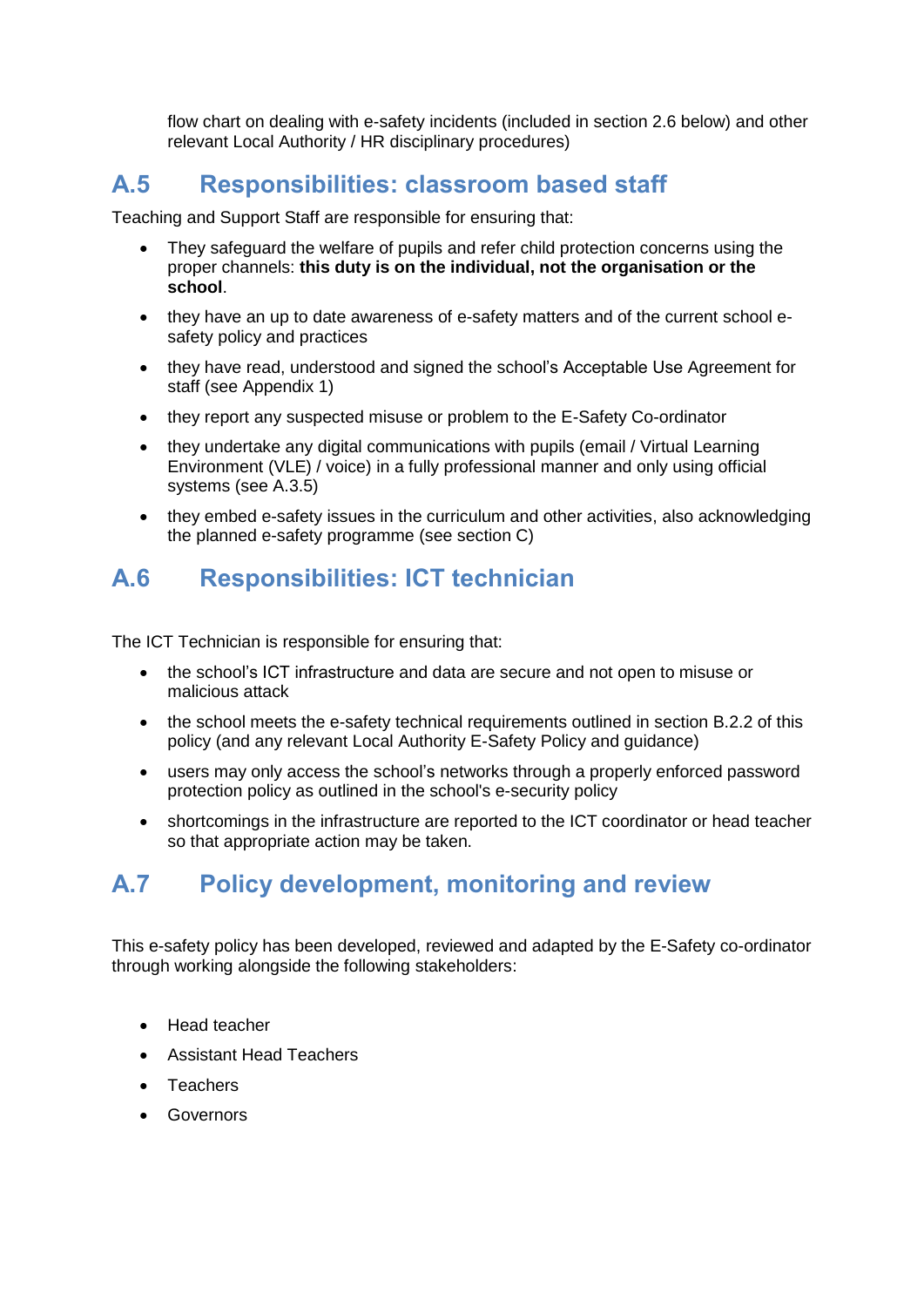flow chart on dealing with e-safety incidents (included in section 2.6 below) and other relevant Local Authority / HR disciplinary procedures)

## <span id="page-4-0"></span>**A.5 Responsibilities: classroom based staff**

Teaching and Support Staff are responsible for ensuring that:

- They safeguard the welfare of pupils and refer child protection concerns using the proper channels: **this duty is on the individual, not the organisation or the school**.
- they have an up to date awareness of e-safety matters and of the current school esafety policy and practices
- they have read, understood and signed the school's Acceptable Use Agreement for staff (see Appendix 1)
- they report any suspected misuse or problem to the E-Safety Co-ordinator
- they undertake any digital communications with pupils (email / Virtual Learning Environment (VLE) / voice) in a fully professional manner and only using official systems (see A.3.5)
- they embed e-safety issues in the curriculum and other activities, also acknowledging the planned e-safety programme (see section C)

## <span id="page-4-1"></span>**A.6 Responsibilities: ICT technician**

The ICT Technician is responsible for ensuring that:

- the school's ICT infrastructure and data are secure and not open to misuse or malicious attack
- the school meets the e-safety technical requirements outlined in section B.2.2 of this policy (and any relevant Local Authority E-Safety Policy and guidance)
- users may only access the school's networks through a properly enforced password protection policy as outlined in the school's e-security policy
- shortcomings in the infrastructure are reported to the ICT coordinator or head teacher so that appropriate action may be taken.

## <span id="page-4-2"></span>**A.7 Policy development, monitoring and review**

This e-safety policy has been developed, reviewed and adapted by the E-Safety co-ordinator through working alongside the following stakeholders:

- Head teacher
- Assistant Head Teachers
- Teachers
- Governors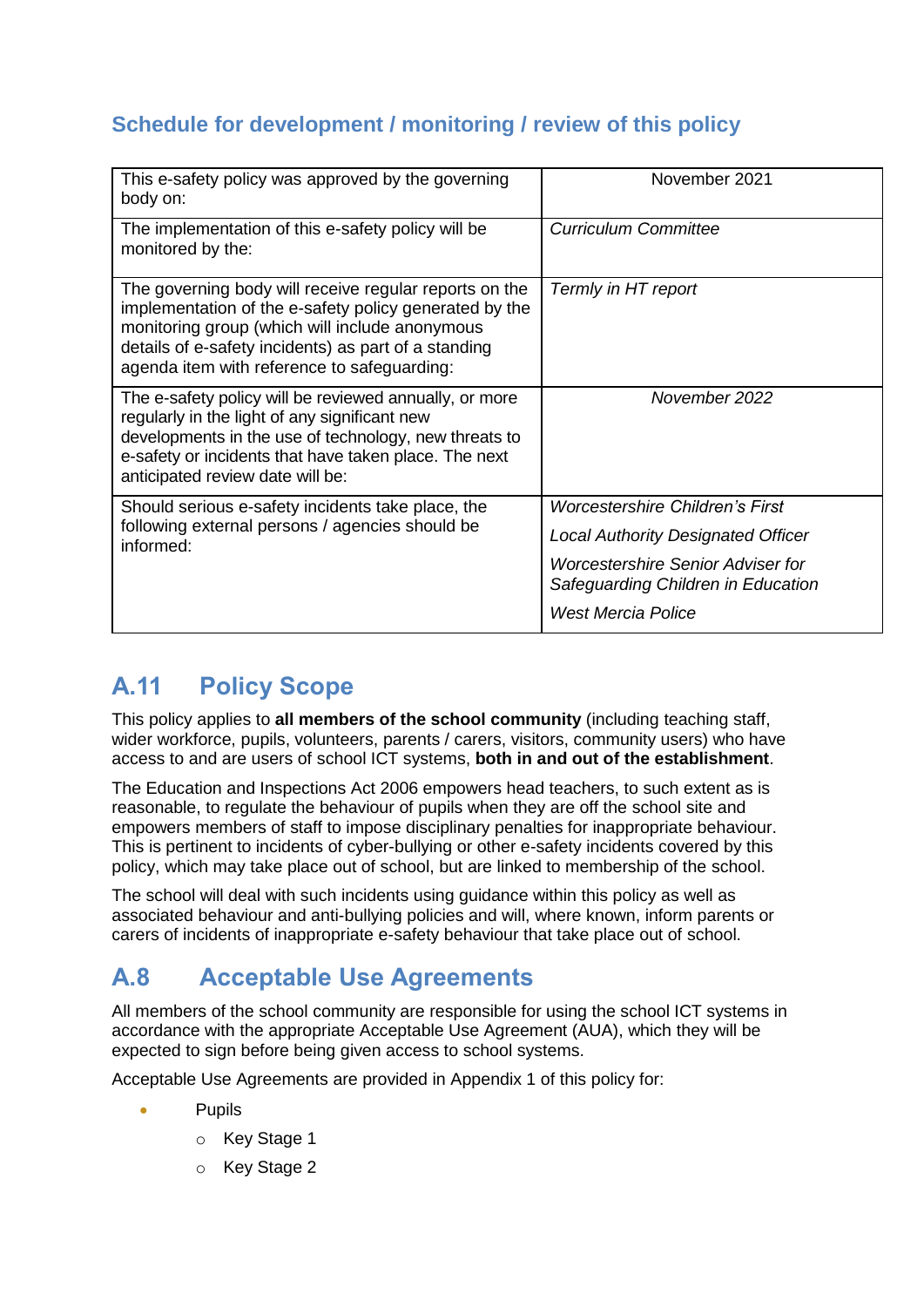### <span id="page-5-0"></span>**Schedule for development / monitoring / review of this policy**

| This e-safety policy was approved by the governing<br>body on:                                                                                                                                                                                                            | November 2021                                                           |
|---------------------------------------------------------------------------------------------------------------------------------------------------------------------------------------------------------------------------------------------------------------------------|-------------------------------------------------------------------------|
| The implementation of this e-safety policy will be<br>monitored by the:                                                                                                                                                                                                   | <b>Curriculum Committee</b>                                             |
| The governing body will receive regular reports on the<br>implementation of the e-safety policy generated by the<br>monitoring group (which will include anonymous<br>details of e-safety incidents) as part of a standing<br>agenda item with reference to safeguarding: | Termly in HT report                                                     |
| The e-safety policy will be reviewed annually, or more<br>regularly in the light of any significant new<br>developments in the use of technology, new threats to<br>e-safety or incidents that have taken place. The next<br>anticipated review date will be:             | November 2022                                                           |
| Should serious e-safety incidents take place, the                                                                                                                                                                                                                         | <b>Worcestershire Children's First</b>                                  |
| following external persons / agencies should be<br>informed:                                                                                                                                                                                                              | <b>Local Authority Designated Officer</b>                               |
|                                                                                                                                                                                                                                                                           | Worcestershire Senior Adviser for<br>Safeguarding Children in Education |
|                                                                                                                                                                                                                                                                           | West Mercia Police                                                      |

## <span id="page-5-1"></span>**A.11 Policy Scope**

This policy applies to **all members of the school community** (including teaching staff, wider workforce, pupils, volunteers, parents / carers, visitors, community users) who have access to and are users of school ICT systems, **both in and out of the establishment**.

The Education and Inspections Act 2006 empowers head teachers, to such extent as is reasonable, to regulate the behaviour of pupils when they are off the school site and empowers members of staff to impose disciplinary penalties for inappropriate behaviour. This is pertinent to incidents of cyber-bullying or other e-safety incidents covered by this policy, which may take place out of school, but are linked to membership of the school.

The school will deal with such incidents using guidance within this policy as well as associated behaviour and anti-bullying policies and will, where known, inform parents or carers of incidents of inappropriate e-safety behaviour that take place out of school.

## <span id="page-5-2"></span>**A.8 Acceptable Use Agreements**

All members of the school community are responsible for using the school ICT systems in accordance with the appropriate Acceptable Use Agreement (AUA), which they will be expected to sign before being given access to school systems.

Acceptable Use Agreements are provided in Appendix 1 of this policy for:

- Pupils
	- o Key Stage 1
	- o Key Stage 2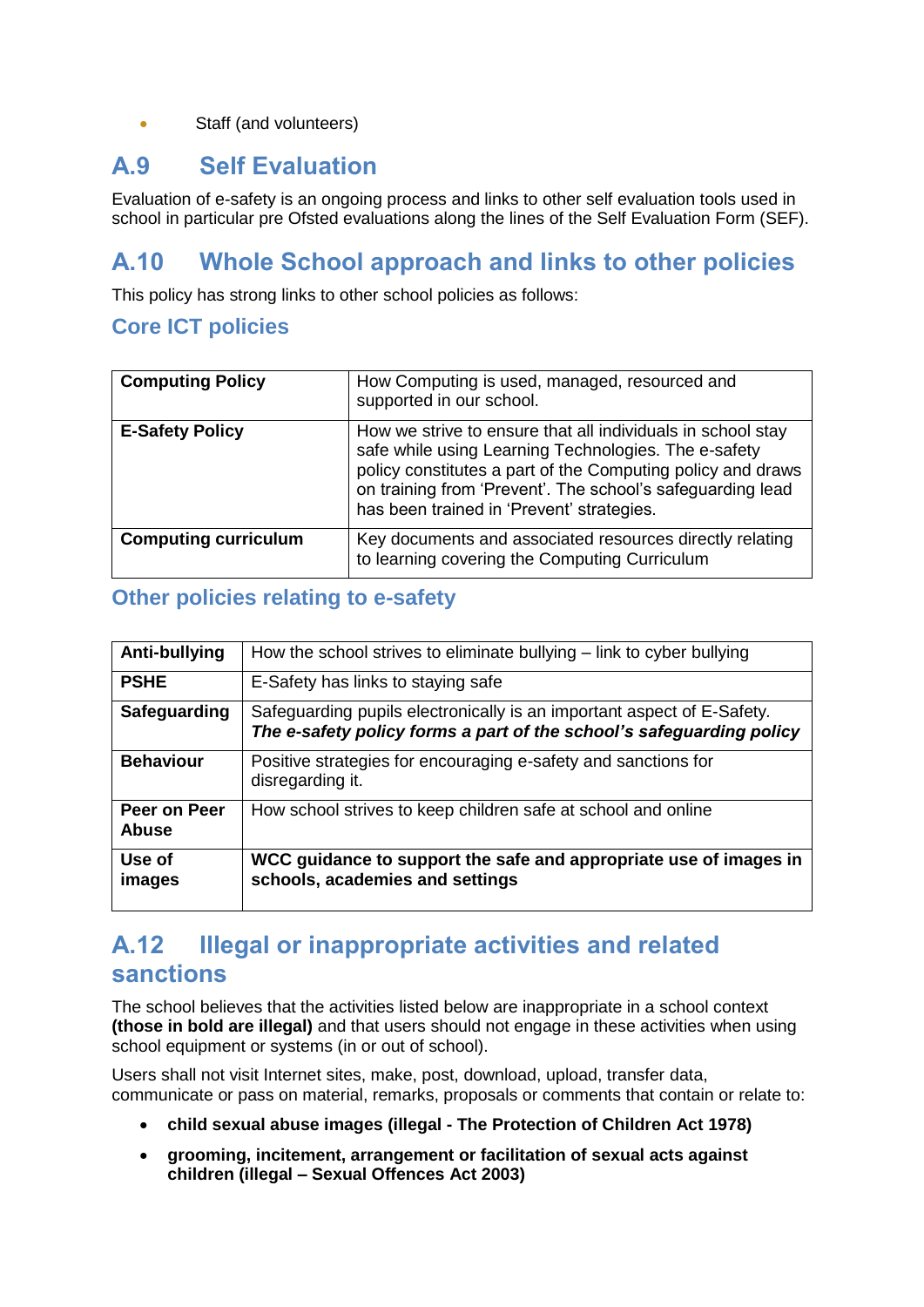#### • Staff (and volunteers)

#### <span id="page-6-0"></span>**A.9 Self Evaluation**

Evaluation of e-safety is an ongoing process and links to other self evaluation tools used in school in particular pre Ofsted evaluations along the lines of the Self Evaluation Form (SEF).

## <span id="page-6-1"></span>**A.10 Whole School approach and links to other policies**

This policy has strong links to other school policies as follows:

#### <span id="page-6-2"></span>**Core ICT policies**

| <b>Computing Policy</b>     | How Computing is used, managed, resourced and<br>supported in our school.                                                                                                                                                                                                                     |
|-----------------------------|-----------------------------------------------------------------------------------------------------------------------------------------------------------------------------------------------------------------------------------------------------------------------------------------------|
| <b>E-Safety Policy</b>      | How we strive to ensure that all individuals in school stay<br>safe while using Learning Technologies. The e-safety<br>policy constitutes a part of the Computing policy and draws<br>on training from 'Prevent'. The school's safeguarding lead<br>has been trained in 'Prevent' strategies. |
| <b>Computing curriculum</b> | Key documents and associated resources directly relating<br>to learning covering the Computing Curriculum                                                                                                                                                                                     |

#### <span id="page-6-3"></span>**Other policies relating to e-safety**

| Anti-bullying                | How the school strives to eliminate bullying $-$ link to cyber bullying                                                                        |
|------------------------------|------------------------------------------------------------------------------------------------------------------------------------------------|
| <b>PSHE</b>                  | E-Safety has links to staying safe                                                                                                             |
| Safeguarding                 | Safeguarding pupils electronically is an important aspect of E-Safety.<br>The e-safety policy forms a part of the school's safeguarding policy |
| <b>Behaviour</b>             | Positive strategies for encouraging e-safety and sanctions for<br>disregarding it.                                                             |
| Peer on Peer<br><b>Abuse</b> | How school strives to keep children safe at school and online                                                                                  |
| Use of<br>images             | WCC guidance to support the safe and appropriate use of images in<br>schools, academies and settings                                           |

## <span id="page-6-4"></span>**A.12 Illegal or inappropriate activities and related sanctions**

The school believes that the activities listed below are inappropriate in a school context **(those in bold are illegal)** and that users should not engage in these activities when using school equipment or systems (in or out of school).

Users shall not visit Internet sites, make, post, download, upload, transfer data, communicate or pass on material, remarks, proposals or comments that contain or relate to:

- **child sexual abuse images (illegal - The Protection of Children Act 1978)**
- **grooming, incitement, arrangement or facilitation of sexual acts against children (illegal – Sexual Offences Act 2003)**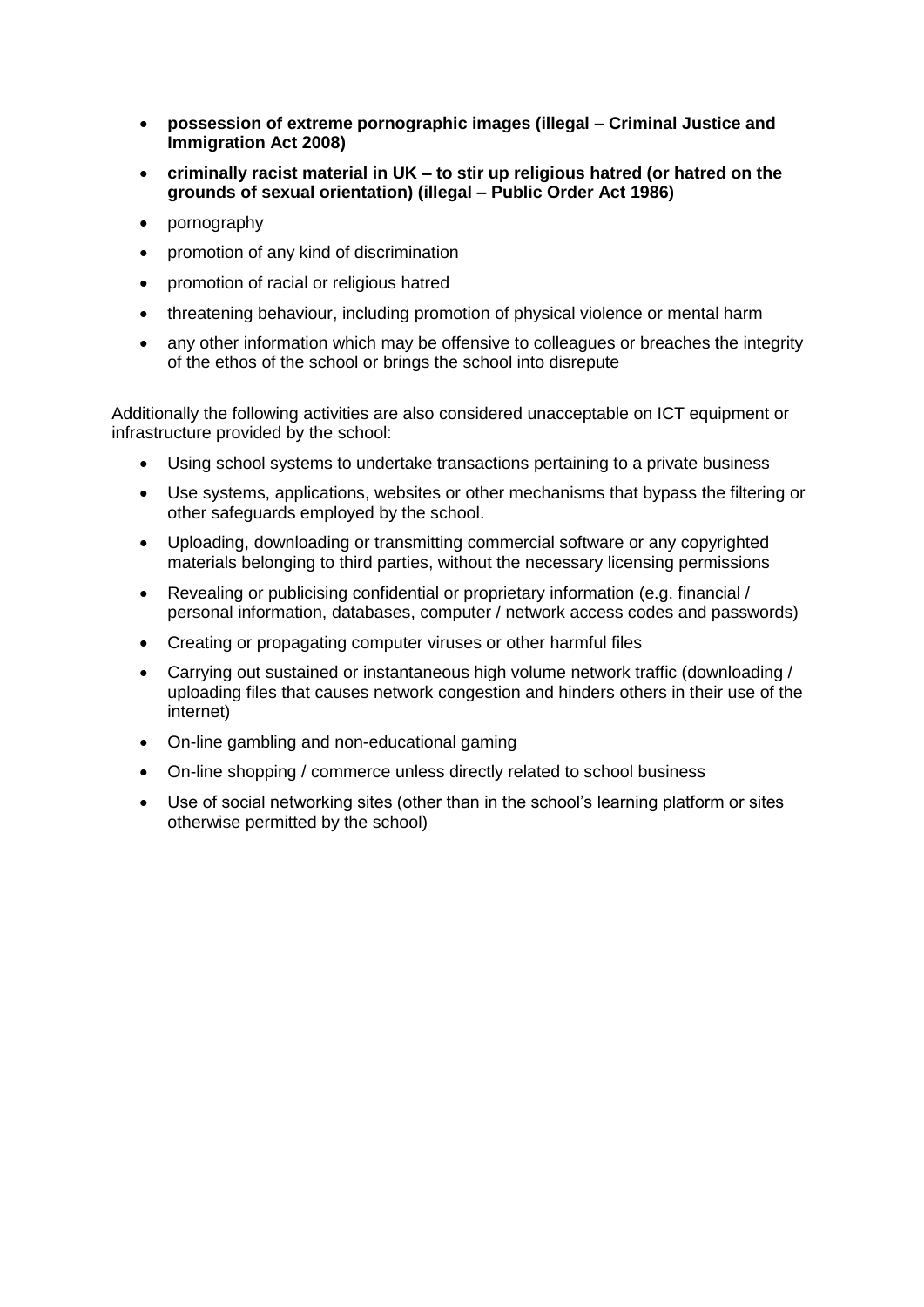- **possession of extreme pornographic images (illegal – Criminal Justice and Immigration Act 2008)**
- **criminally racist material in UK – to stir up religious hatred (or hatred on the grounds of sexual orientation) (illegal – Public Order Act 1986)**
- pornography
- promotion of any kind of discrimination
- promotion of racial or religious hatred
- threatening behaviour, including promotion of physical violence or mental harm
- any other information which may be offensive to colleagues or breaches the integrity of the ethos of the school or brings the school into disrepute

Additionally the following activities are also considered unacceptable on ICT equipment or infrastructure provided by the school:

- Using school systems to undertake transactions pertaining to a private business
- Use systems, applications, websites or other mechanisms that bypass the filtering or other safeguards employed by the school.
- Uploading, downloading or transmitting commercial software or any copyrighted materials belonging to third parties, without the necessary licensing permissions
- Revealing or publicising confidential or proprietary information (e.g. financial / personal information, databases, computer / network access codes and passwords)
- Creating or propagating computer viruses or other harmful files
- Carrying out sustained or instantaneous high volume network traffic (downloading / uploading files that causes network congestion and hinders others in their use of the internet)
- On-line gambling and non-educational gaming
- On-line shopping / commerce unless directly related to school business
- Use of social networking sites (other than in the school's learning platform or sites otherwise permitted by the school)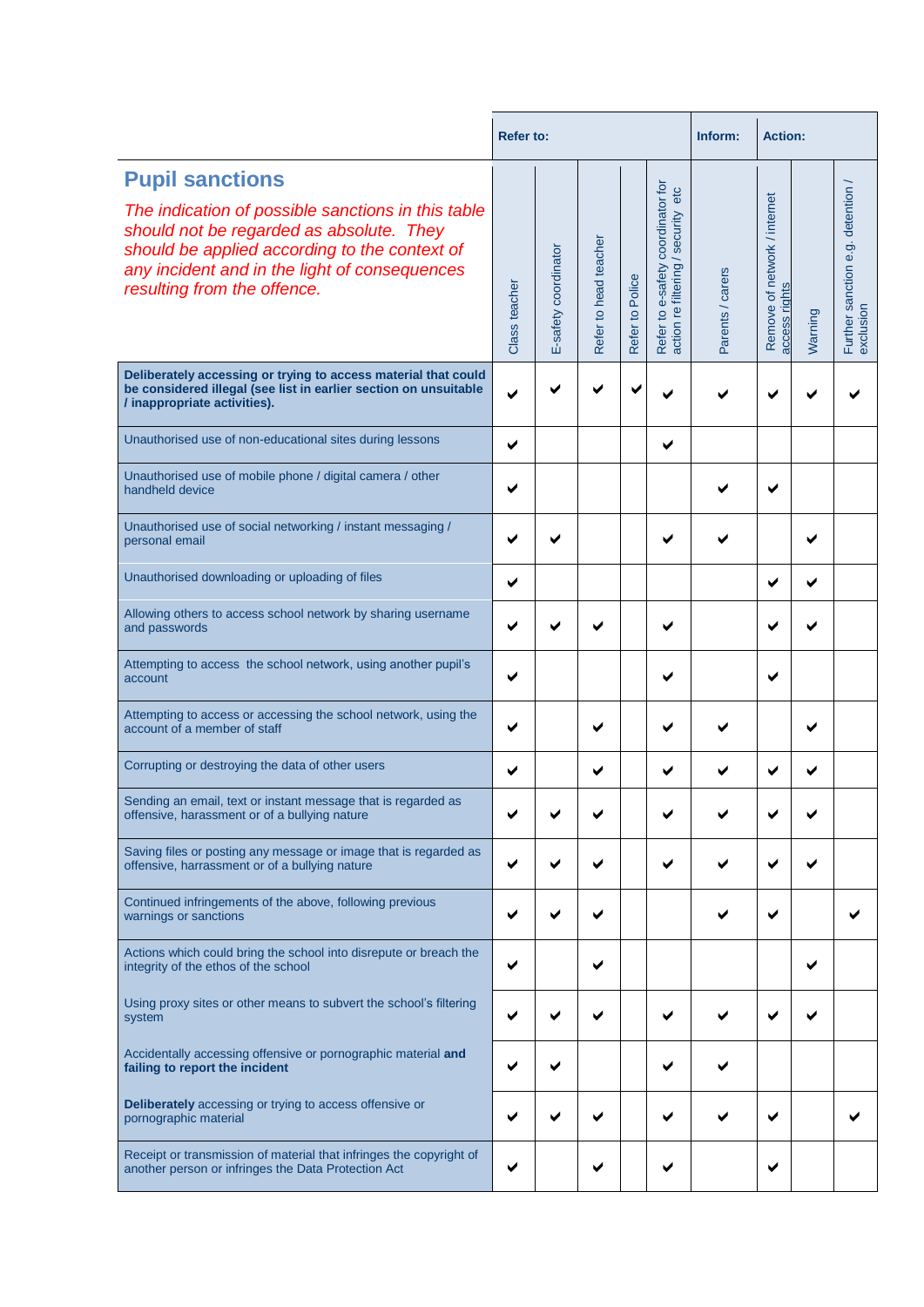|                                                                                                                                                                                                                                                           | <b>Refer to:</b> |                      |                       |                 |                                                                         | <b>Action:</b><br>Inform: |                                               |         |                                              |  |
|-----------------------------------------------------------------------------------------------------------------------------------------------------------------------------------------------------------------------------------------------------------|------------------|----------------------|-----------------------|-----------------|-------------------------------------------------------------------------|---------------------------|-----------------------------------------------|---------|----------------------------------------------|--|
| <b>Pupil sanctions</b><br>The indication of possible sanctions in this table<br>should not be regarded as absolute. They<br>should be applied according to the context of<br>any incident and in the light of consequences<br>resulting from the offence. | Class teacher    | E-safety coordinator | Refer to head teacher | Refer to Police | Refer to e-safety coordinator for<br>action re filtering / security etc | Parents / carers          | Remove of network / internet<br>access rights | Warning | Further sanction e.g. detention<br>exclusion |  |
| Deliberately accessing or trying to access material that could<br>be considered illegal (see list in earlier section on unsuitable<br>/ inappropriate activities).                                                                                        |                  |                      |                       |                 |                                                                         |                           |                                               |         |                                              |  |
| Unauthorised use of non-educational sites during lessons                                                                                                                                                                                                  | ✔                |                      |                       |                 | ✔                                                                       |                           |                                               |         |                                              |  |
| Unauthorised use of mobile phone / digital camera / other<br>handheld device                                                                                                                                                                              |                  |                      |                       |                 |                                                                         |                           | ✔                                             |         |                                              |  |
| Unauthorised use of social networking / instant messaging /<br>personal email                                                                                                                                                                             |                  |                      |                       |                 |                                                                         |                           |                                               | ✔       |                                              |  |
| Unauthorised downloading or uploading of files                                                                                                                                                                                                            | ✔                |                      |                       |                 |                                                                         |                           | ✔                                             | ✔       |                                              |  |
| Allowing others to access school network by sharing username<br>and passwords                                                                                                                                                                             |                  |                      |                       |                 |                                                                         |                           | ✔                                             |         |                                              |  |
| Attempting to access the school network, using another pupil's<br>account                                                                                                                                                                                 |                  |                      |                       |                 |                                                                         |                           | ✔                                             |         |                                              |  |
| Attempting to access or accessing the school network, using the<br>account of a member of staff                                                                                                                                                           |                  |                      |                       |                 |                                                                         |                           |                                               | ✔       |                                              |  |
| Corrupting or destroying the data of other users                                                                                                                                                                                                          | ✔                |                      | ✔                     |                 |                                                                         | ✔                         | ✔                                             |         |                                              |  |
| Sending an email, text or instant message that is regarded as<br>offensive, harassment or of a bullying nature                                                                                                                                            |                  |                      |                       |                 |                                                                         |                           |                                               |         |                                              |  |
| Saving files or posting any message or image that is regarded as<br>offensive, harrassment or of a bullying nature                                                                                                                                        |                  |                      |                       |                 |                                                                         |                           |                                               |         |                                              |  |
| Continued infringements of the above, following previous<br>warnings or sanctions                                                                                                                                                                         |                  |                      |                       |                 |                                                                         |                           | ✔                                             |         |                                              |  |
| Actions which could bring the school into disrepute or breach the<br>integrity of the ethos of the school                                                                                                                                                 |                  |                      | ✔                     |                 |                                                                         |                           |                                               | ✔       |                                              |  |
| Using proxy sites or other means to subvert the school's filtering<br>system                                                                                                                                                                              |                  |                      |                       |                 |                                                                         |                           |                                               |         |                                              |  |
| Accidentally accessing offensive or pornographic material and<br>failing to report the incident                                                                                                                                                           |                  |                      |                       |                 |                                                                         |                           |                                               |         |                                              |  |
| Deliberately accessing or trying to access offensive or<br>pornographic material                                                                                                                                                                          |                  |                      | ✔                     |                 |                                                                         |                           | ✔                                             |         |                                              |  |
| Receipt or transmission of material that infringes the copyright of<br>another person or infringes the Data Protection Act                                                                                                                                | ✔                |                      | ✔                     |                 | ✔                                                                       |                           | ✔                                             |         |                                              |  |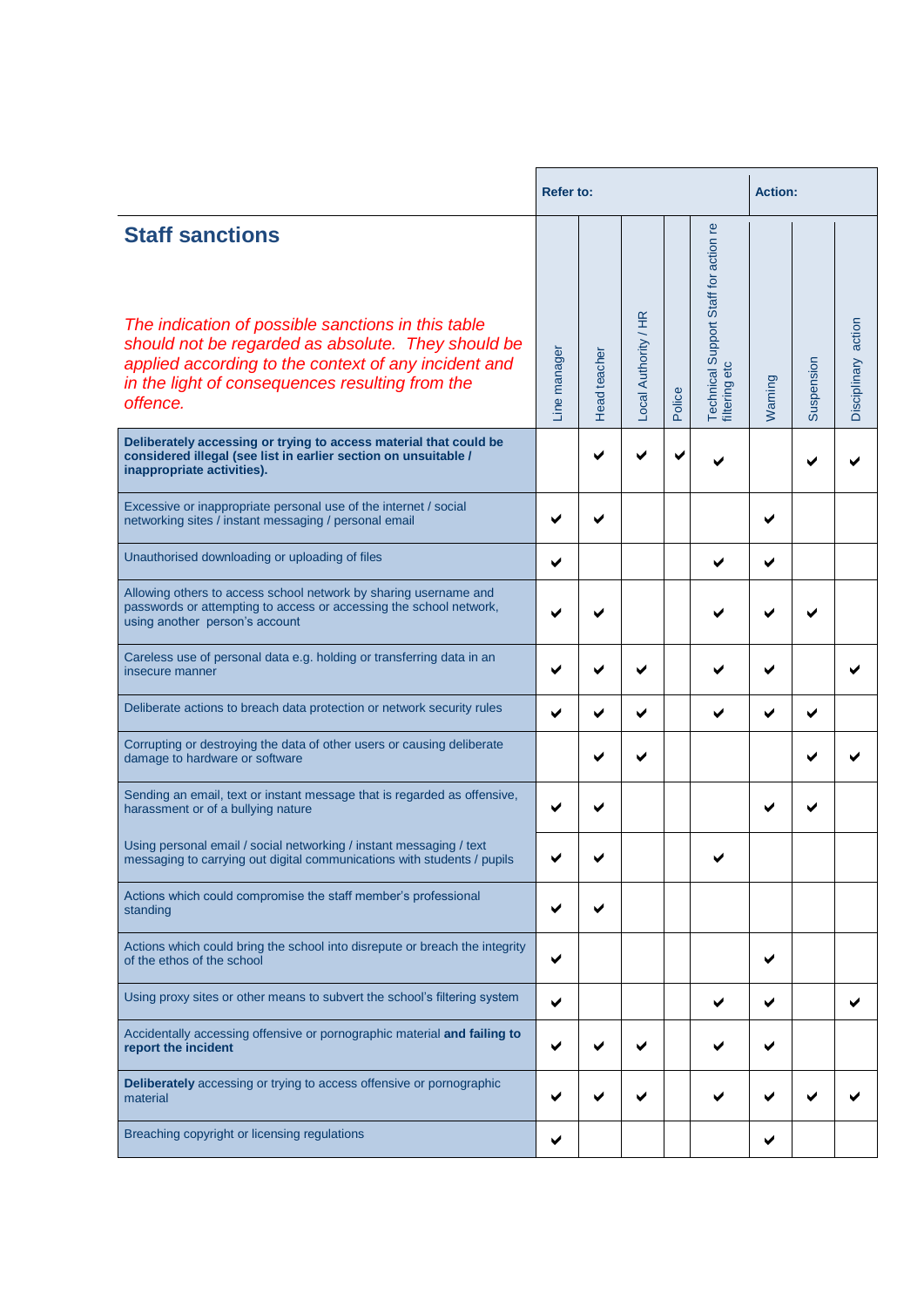|                                                                                                                                                                                                                                                           | <b>Refer to:</b> |              |                      |        |                                                        | <b>Action:</b> |            |                     |  |
|-----------------------------------------------------------------------------------------------------------------------------------------------------------------------------------------------------------------------------------------------------------|------------------|--------------|----------------------|--------|--------------------------------------------------------|----------------|------------|---------------------|--|
| <b>Staff sanctions</b><br>The indication of possible sanctions in this table<br>should not be regarded as absolute. They should be<br>applied according to the context of any incident and<br>in the light of consequences resulting from the<br>offence. | Line manager     | Head teacher | Local Authority / HR | Police | Technical Support Staff for action re<br>filtering etc | Warning        | Suspension | Disciplinary action |  |
| Deliberately accessing or trying to access material that could be<br>considered illegal (see list in earlier section on unsuitable /<br>inappropriate activities).                                                                                        |                  |              |                      |        |                                                        |                |            |                     |  |
| Excessive or inappropriate personal use of the internet / social<br>networking sites / instant messaging / personal email                                                                                                                                 |                  |              |                      |        |                                                        |                |            |                     |  |
| Unauthorised downloading or uploading of files                                                                                                                                                                                                            | ✔                |              |                      |        |                                                        |                |            |                     |  |
| Allowing others to access school network by sharing username and<br>passwords or attempting to access or accessing the school network,<br>using another person's account                                                                                  |                  |              |                      |        |                                                        |                |            |                     |  |
| Careless use of personal data e.g. holding or transferring data in an<br>insecure manner                                                                                                                                                                  |                  |              |                      |        |                                                        |                |            |                     |  |
| Deliberate actions to breach data protection or network security rules                                                                                                                                                                                    |                  |              |                      |        |                                                        |                |            |                     |  |
| Corrupting or destroying the data of other users or causing deliberate<br>damage to hardware or software                                                                                                                                                  |                  |              |                      |        |                                                        |                |            |                     |  |
| Sending an email, text or instant message that is regarded as offensive,<br>harassment or of a bullying nature                                                                                                                                            |                  |              |                      |        |                                                        |                |            |                     |  |
| Using personal email / social networking / instant messaging / text<br>messaging to carrying out digital communications with students / pupils                                                                                                            |                  |              |                      |        |                                                        |                |            |                     |  |
| Actions which could compromise the staff member's professional<br>standing                                                                                                                                                                                |                  |              |                      |        |                                                        |                |            |                     |  |
| Actions which could bring the school into disrepute or breach the integrity<br>of the ethos of the school                                                                                                                                                 | ✔                |              |                      |        |                                                        | ✔              |            |                     |  |
| Using proxy sites or other means to subvert the school's filtering system                                                                                                                                                                                 | ✔                |              |                      |        |                                                        |                |            | ✔                   |  |
| Accidentally accessing offensive or pornographic material and failing to<br>report the incident                                                                                                                                                           |                  |              |                      |        |                                                        |                |            |                     |  |
| <b>Deliberately</b> accessing or trying to access offensive or pornographic<br>material                                                                                                                                                                   |                  |              |                      |        |                                                        |                |            |                     |  |
| Breaching copyright or licensing regulations                                                                                                                                                                                                              |                  |              |                      |        |                                                        | ✔              |            |                     |  |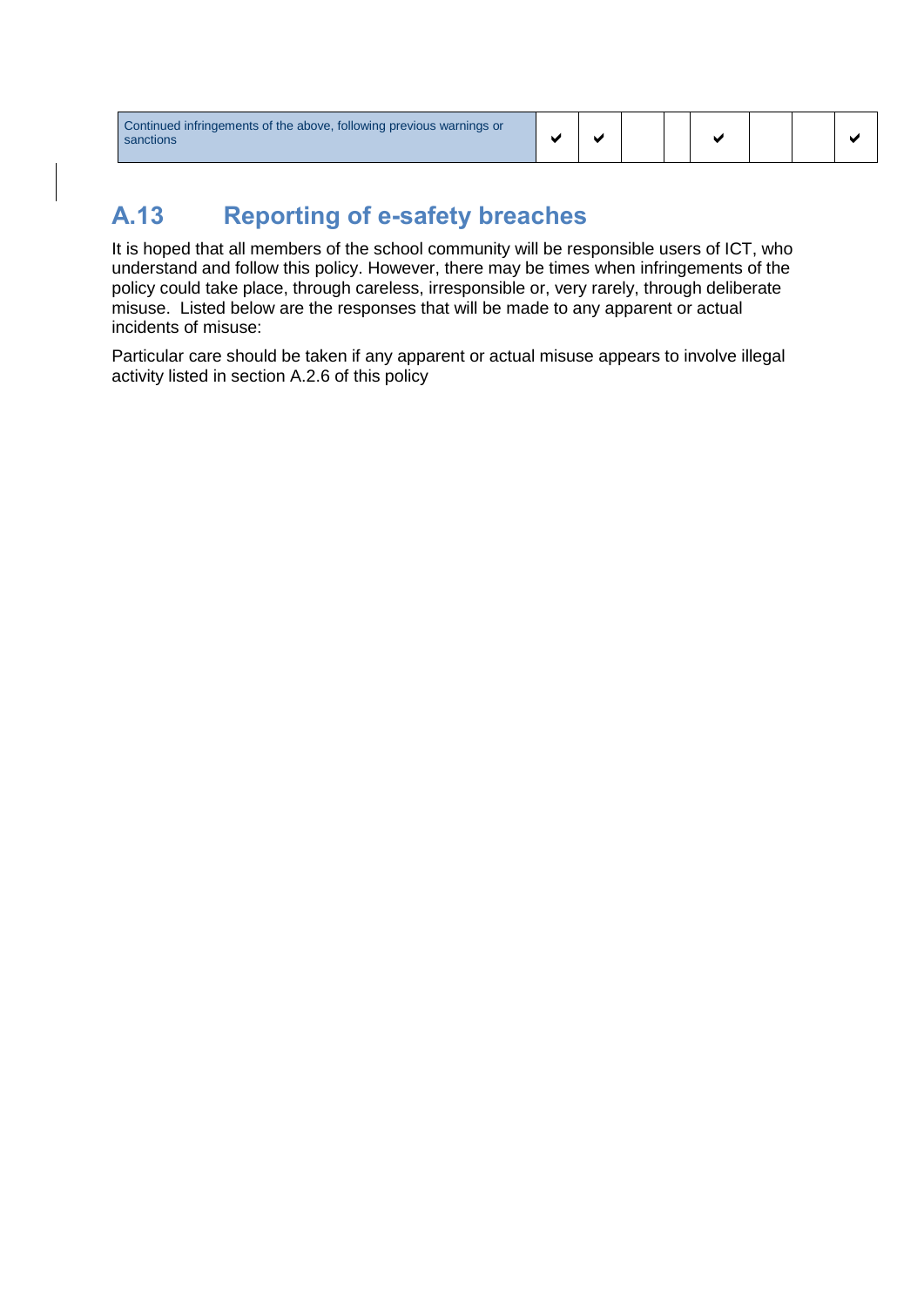| Continued infringements of the above, following previous warnings or<br>sanctions |  |  |  |  |  |  |  |  |
|-----------------------------------------------------------------------------------|--|--|--|--|--|--|--|--|
|-----------------------------------------------------------------------------------|--|--|--|--|--|--|--|--|

## **A.13 Reporting of e-safety breaches**

It is hoped that all members of the school community will be responsible users of ICT, who understand and follow this policy. However, there may be times when infringements of the policy could take place, through careless, irresponsible or, very rarely, through deliberate misuse. Listed below are the responses that will be made to any apparent or actual incidents of misuse:

Particular care should be taken if any apparent or actual misuse appears to involve illegal activity listed in section A.2.6 of this policy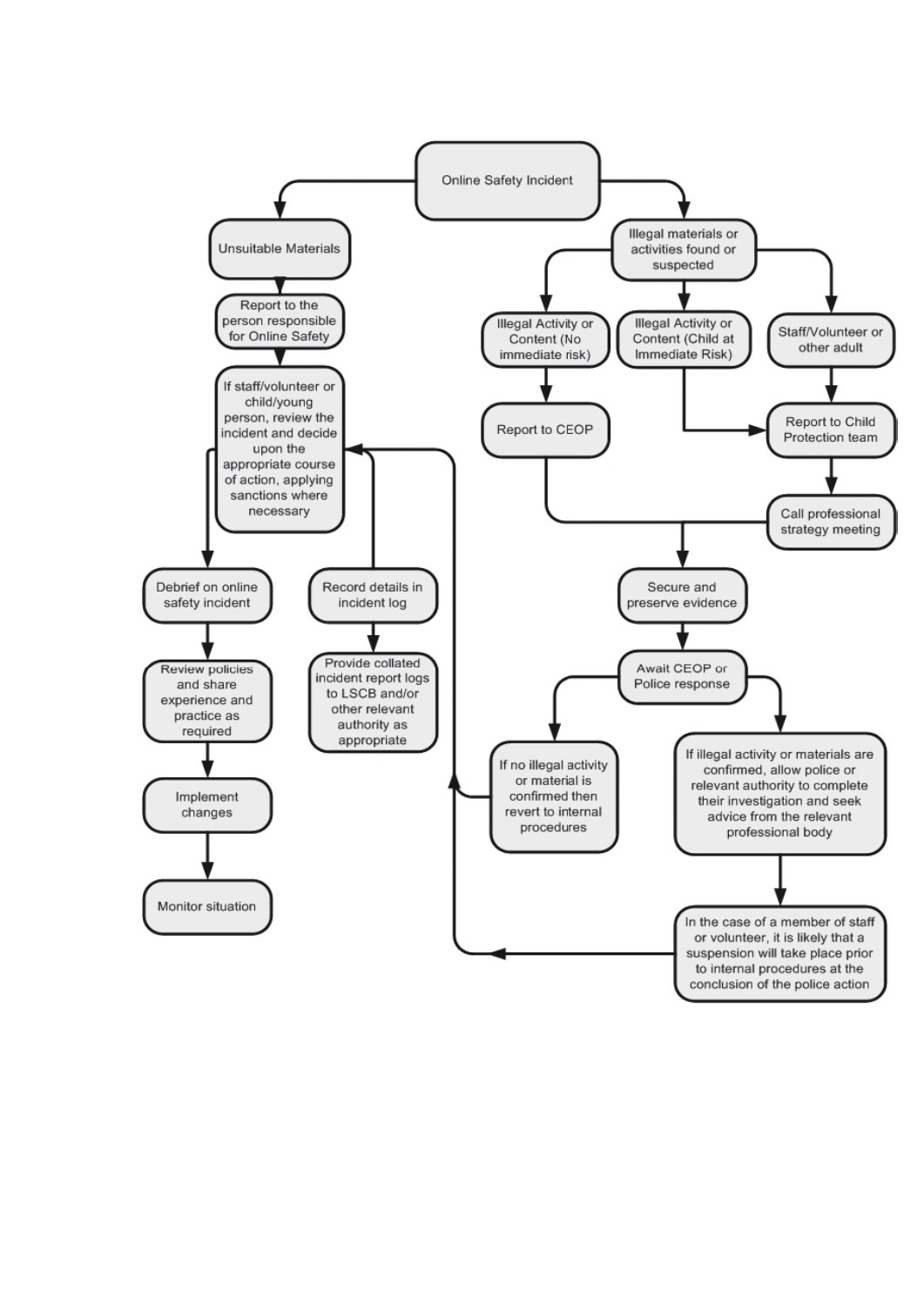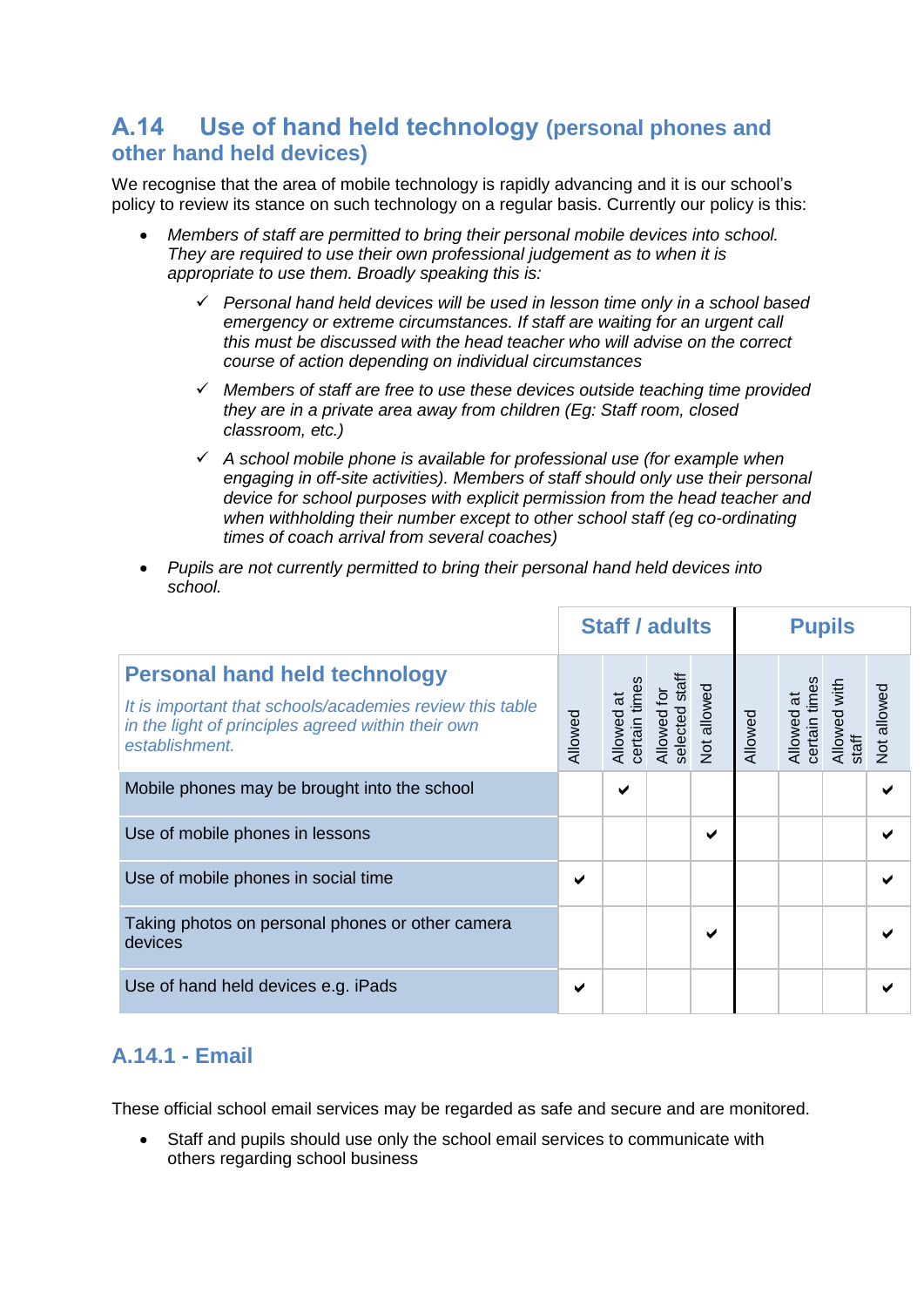#### **A.14 Use of hand held technology (personal phones and other hand held devices)**

We recognise that the area of mobile technology is rapidly advancing and it is our school's policy to review its stance on such technology on a regular basis. Currently our policy is this:

- *Members of staff are permitted to bring their personal mobile devices into school. They are required to use their own professional judgement as to when it is appropriate to use them. Broadly speaking this is:*
	- ✓ *Personal hand held devices will be used in lesson time only in a school based emergency or extreme circumstances. If staff are waiting for an urgent call this must be discussed with the head teacher who will advise on the correct course of action depending on individual circumstances*
	- ✓ *Members of staff are free to use these devices outside teaching time provided they are in a private area away from children (Eg: Staff room, closed classroom, etc.)*
	- ✓ *A school mobile phone is available for professional use (for example when engaging in off-site activities). Members of staff should only use their personal device for school purposes with explicit permission from the head teacher and when withholding their number except to other school staff (eg co-ordinating times of coach arrival from several coaches)*
- *Pupils are not currently permitted to bring their personal hand held devices into school.*

|                                                                                                                                                                          | <b>Staff / adults</b> |                              |                                      | <b>Pupils</b>      |         |                             |                       |                    |
|--------------------------------------------------------------------------------------------------------------------------------------------------------------------------|-----------------------|------------------------------|--------------------------------------|--------------------|---------|-----------------------------|-----------------------|--------------------|
| <b>Personal hand held technology</b><br>It is important that schools/academies review this table<br>in the light of principles agreed within their own<br>establishment. | Allowed               | certain time<br>ಸ<br>Allowed | staff<br>Allowed for<br>selected sta | <b>Not allowed</b> | Allowed | Allowed at<br>certain times | Allowed with<br>staff | <b>Not allowed</b> |
| Mobile phones may be brought into the school                                                                                                                             |                       | ✔                            |                                      |                    |         |                             |                       |                    |
| Use of mobile phones in lessons                                                                                                                                          |                       |                              |                                      | ✔                  |         |                             |                       | ✔                  |
| Use of mobile phones in social time                                                                                                                                      | ✔                     |                              |                                      |                    |         |                             |                       | ✔                  |
| Taking photos on personal phones or other camera<br>devices                                                                                                              |                       |                              |                                      | ✔                  |         |                             |                       |                    |
| Use of hand held devices e.g. iPads                                                                                                                                      | ✔                     |                              |                                      |                    |         |                             |                       |                    |

#### <span id="page-12-0"></span>**A.14.1 - Email**

These official school email services may be regarded as safe and secure and are monitored.

Staff and pupils should use only the school email services to communicate with others regarding school business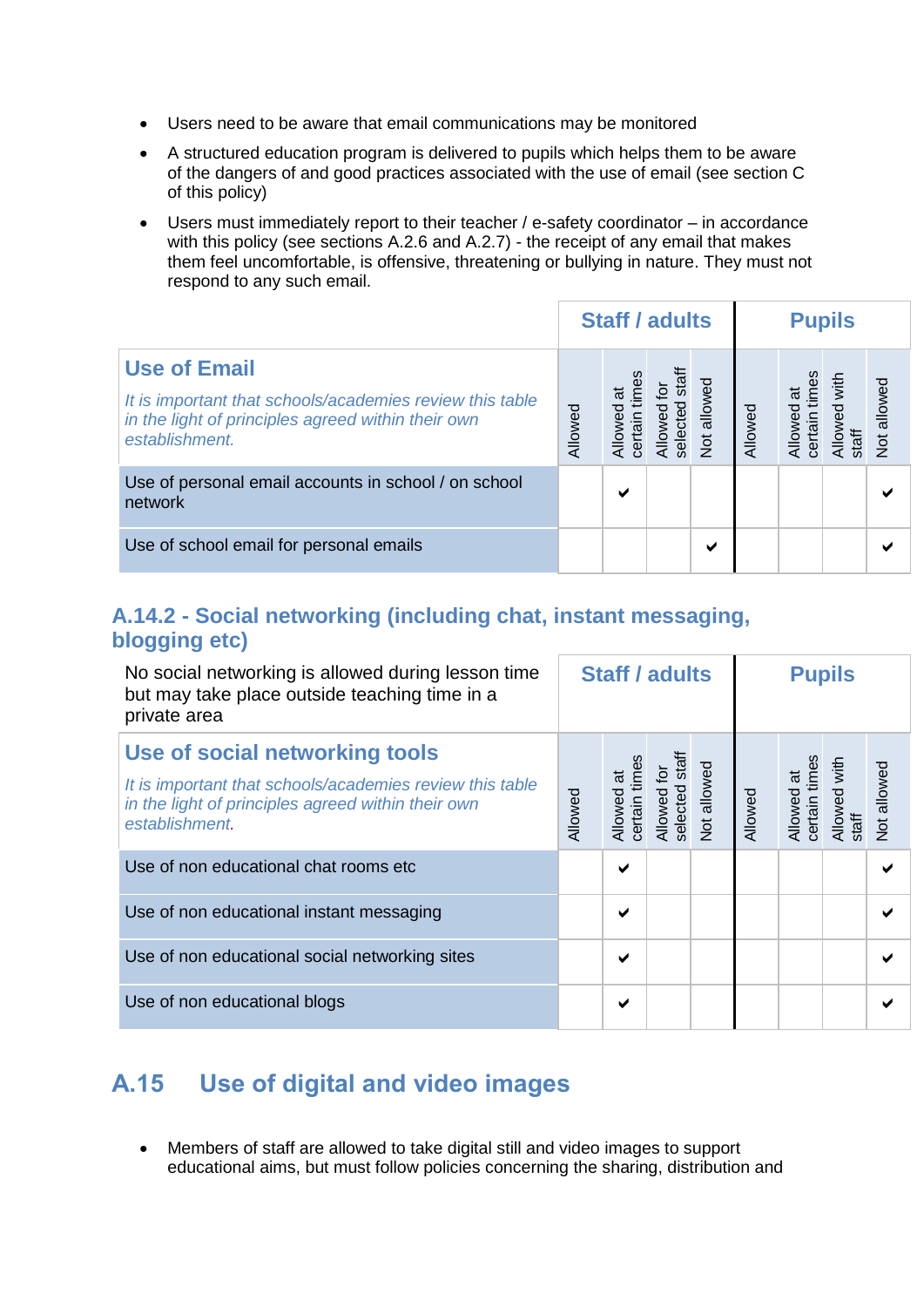- Users need to be aware that email communications may be monitored
- A structured education program is delivered to pupils which helps them to be aware of the dangers of and good practices associated with the use of email (see section C of this policy)
- Users must immediately report to their teacher / e-safety coordinator in accordance with this policy (see sections A.2.6 and A.2.7) - the receipt of any email that makes them feel uncomfortable, is offensive, threatening or bullying in nature. They must not respond to any such email.

|                                                                                                                                                         | <b>Staff / adults</b> |   | <b>Pupils</b>            |             |         |                                |            |                    |
|---------------------------------------------------------------------------------------------------------------------------------------------------------|-----------------------|---|--------------------------|-------------|---------|--------------------------------|------------|--------------------|
| <b>Use of Email</b><br>It is important that schools/academies review this table<br>in the light of principles agreed within their own<br>establishment. | Allowed               | ō | $15$<br>selected<br>NO∥A | Not allowed | Allowed | times<br>Allowed<br>certain ti | with<br>မြ | <b>Not allowed</b> |
| Use of personal email accounts in school / on school<br>network                                                                                         |                       | ✔ |                          |             |         |                                |            | ✔                  |
| Use of school email for personal emails                                                                                                                 |                       |   |                          | м           |         |                                |            |                    |

#### <span id="page-13-0"></span>**A.14.2 - Social networking (including chat, instant messaging, blogging etc)**

| No social networking is allowed during lesson time<br>but may take place outside teaching time in a<br>private area                                                | <b>Staff / adults</b> |                                      | <b>Pupils</b>                 |                    |         |                             |                             |                    |
|--------------------------------------------------------------------------------------------------------------------------------------------------------------------|-----------------------|--------------------------------------|-------------------------------|--------------------|---------|-----------------------------|-----------------------------|--------------------|
| Use of social networking tools<br>It is important that schools/academies review this table<br>in the light of principles agreed within their own<br>establishment. | Allowed               | certain time<br>$\vec{a}$<br>Allowed | Allowed for<br>selected staff | <b>Vot allowed</b> | Allowed | Allowed at<br>certain times | with<br>Allowed<br>$i$ taff | <b>Not allowed</b> |
| Use of non educational chat rooms etc.                                                                                                                             |                       | ✔                                    |                               |                    |         |                             |                             |                    |
| Use of non educational instant messaging                                                                                                                           |                       | ✔                                    |                               |                    |         |                             |                             |                    |
| Use of non educational social networking sites                                                                                                                     |                       | ✔                                    |                               |                    |         |                             |                             |                    |
| Use of non educational blogs                                                                                                                                       |                       | ✔                                    |                               |                    |         |                             |                             |                    |

## <span id="page-13-1"></span>**A.15 Use of digital and video images**

• Members of staff are allowed to take digital still and video images to support educational aims, but must follow policies concerning the sharing, distribution and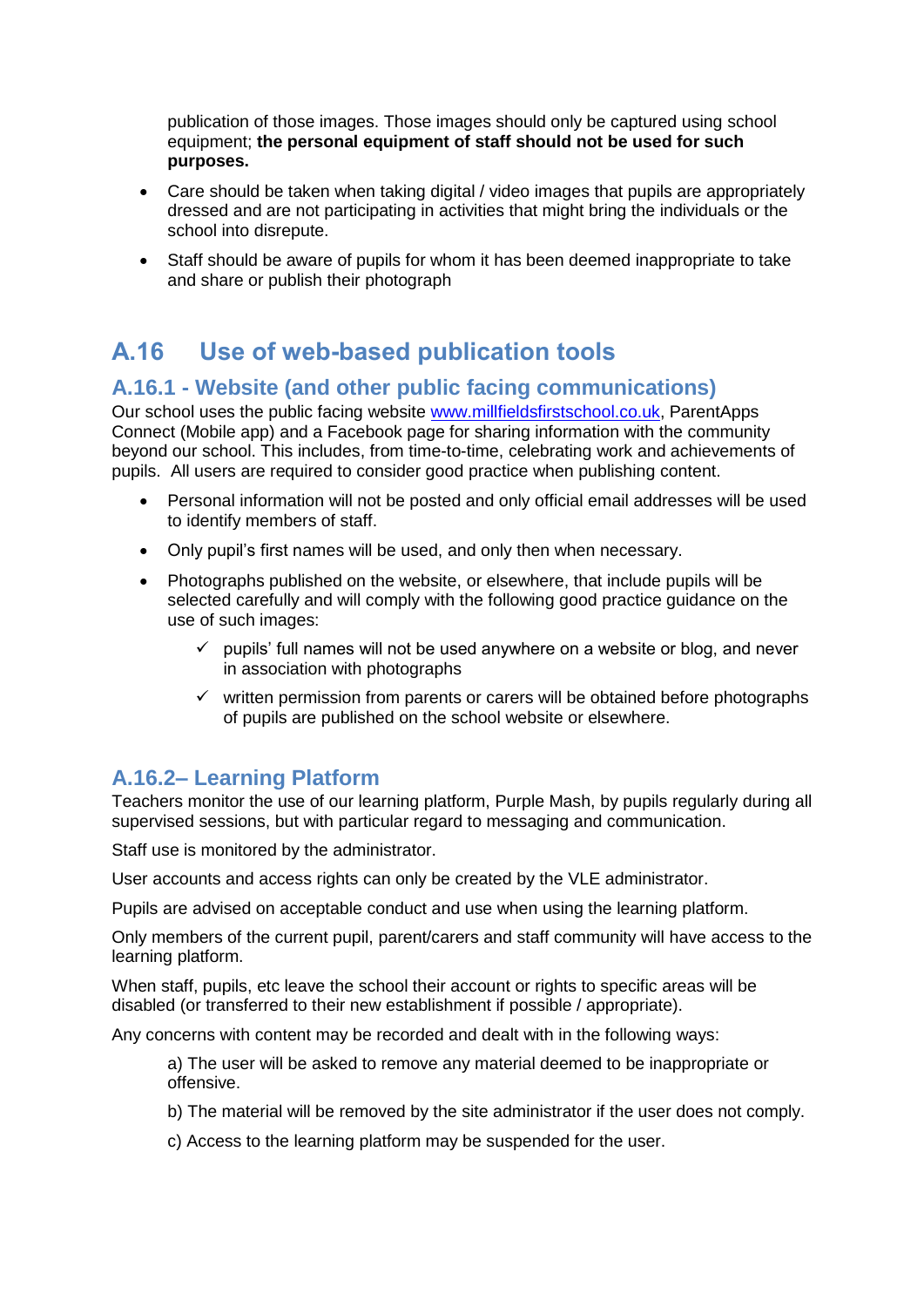publication of those images. Those images should only be captured using school equipment; **the personal equipment of staff should not be used for such purposes.**

- Care should be taken when taking digital / video images that pupils are appropriately dressed and are not participating in activities that might bring the individuals or the school into disrepute.
- Staff should be aware of pupils for whom it has been deemed inappropriate to take and share or publish their photograph

## <span id="page-14-0"></span>**A.16 Use of web-based publication tools**

#### <span id="page-14-1"></span>**A.16.1 - Website (and other public facing communications)**

Our school uses the public facing website [www.millfieldsfirstschool.co.uk,](http://www.millfieldsfirstschool.co.uk/) ParentApps Connect (Mobile app) and a Facebook page for sharing information with the community beyond our school. This includes, from time-to-time, celebrating work and achievements of pupils. All users are required to consider good practice when publishing content.

- Personal information will not be posted and only official email addresses will be used to identify members of staff.
- Only pupil's first names will be used, and only then when necessary.
- Photographs published on the website, or elsewhere, that include pupils will be selected carefully and will comply with the following good practice guidance on the use of such images:
	- $\checkmark$  pupils' full names will not be used anywhere on a website or blog, and never in association with photographs
	- ✓ written permission from parents or carers will be obtained before photographs of pupils are published on the school website or elsewhere.

#### <span id="page-14-2"></span>**A.16.2– Learning Platform**

Teachers monitor the use of our learning platform, Purple Mash, by pupils regularly during all supervised sessions, but with particular regard to messaging and communication.

Staff use is monitored by the administrator.

User accounts and access rights can only be created by the VLE administrator.

Pupils are advised on acceptable conduct and use when using the learning platform.

Only members of the current pupil, parent/carers and staff community will have access to the learning platform.

When staff, pupils, etc leave the school their account or rights to specific areas will be disabled (or transferred to their new establishment if possible / appropriate).

Any concerns with content may be recorded and dealt with in the following ways:

a) The user will be asked to remove any material deemed to be inappropriate or offensive.

- b) The material will be removed by the site administrator if the user does not comply.
- c) Access to the learning platform may be suspended for the user.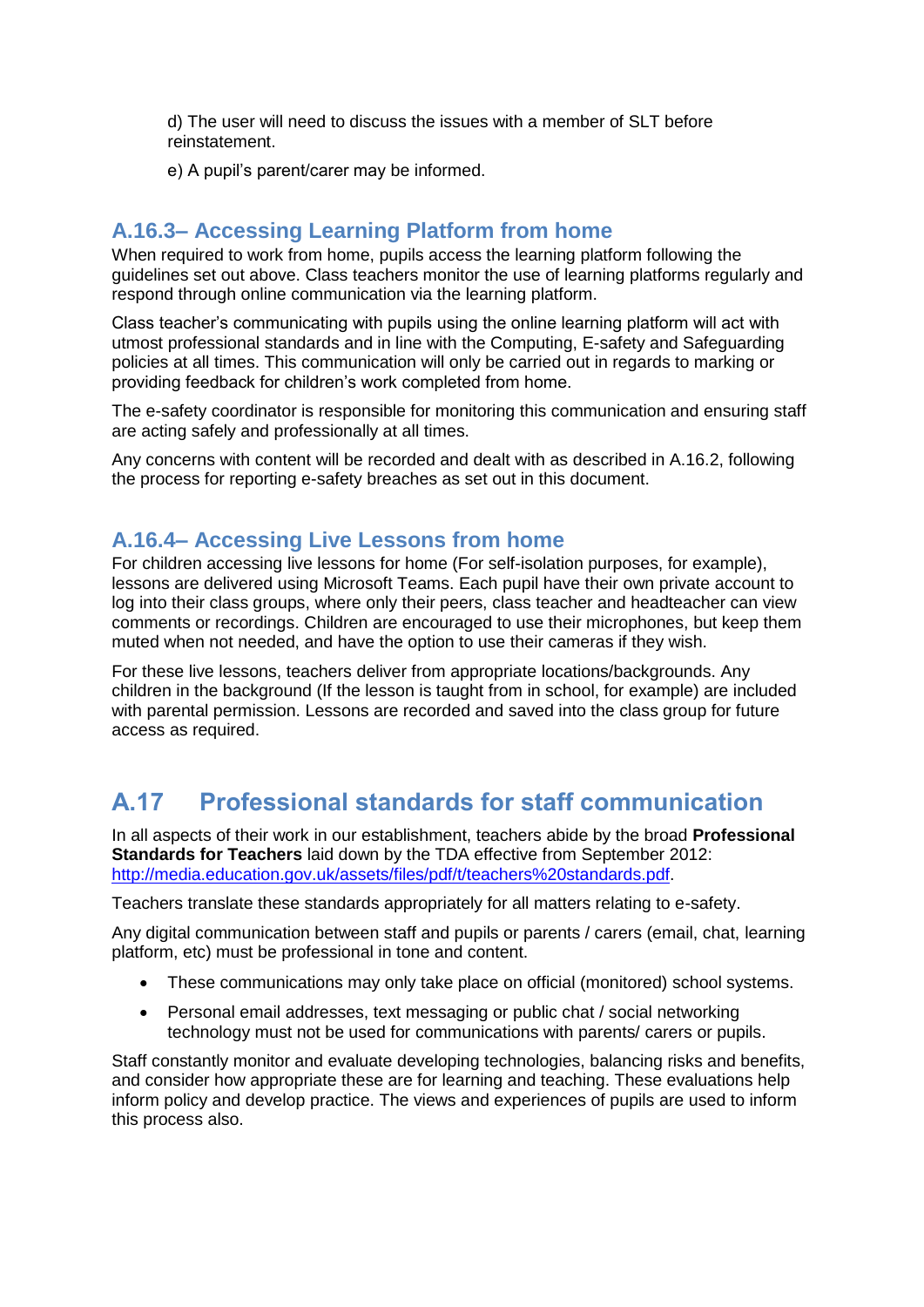d) The user will need to discuss the issues with a member of SLT before reinstatement.

e) A pupil's parent/carer may be informed.

#### <span id="page-15-0"></span>**A.16.3– Accessing Learning Platform from home**

When required to work from home, pupils access the learning platform following the guidelines set out above. Class teachers monitor the use of learning platforms regularly and respond through online communication via the learning platform.

Class teacher's communicating with pupils using the online learning platform will act with utmost professional standards and in line with the Computing, E-safety and Safeguarding policies at all times. This communication will only be carried out in regards to marking or providing feedback for children's work completed from home.

The e-safety coordinator is responsible for monitoring this communication and ensuring staff are acting safely and professionally at all times.

Any concerns with content will be recorded and dealt with as described in A.16.2, following the process for reporting e-safety breaches as set out in this document.

#### <span id="page-15-1"></span>**A.16.4– Accessing Live Lessons from home**

For children accessing live lessons for home (For self-isolation purposes, for example), lessons are delivered using Microsoft Teams. Each pupil have their own private account to log into their class groups, where only their peers, class teacher and headteacher can view comments or recordings. Children are encouraged to use their microphones, but keep them muted when not needed, and have the option to use their cameras if they wish.

For these live lessons, teachers deliver from appropriate locations/backgrounds. Any children in the background (If the lesson is taught from in school, for example) are included with parental permission. Lessons are recorded and saved into the class group for future access as required.

## <span id="page-15-2"></span>**A.17 Professional standards for staff communication**

In all aspects of their work in our establishment, teachers abide by the broad **Professional Standards for Teachers** laid down by the TDA effective from September 2012: [http://media.education.gov.uk/assets/files/pdf/t/teachers%20standards.pdf.](http://media.education.gov.uk/assets/files/pdf/t/teachers%20standards.pdf)

Teachers translate these standards appropriately for all matters relating to e-safety.

Any digital communication between staff and pupils or parents / carers (email, chat, learning platform, etc) must be professional in tone and content.

- These communications may only take place on official (monitored) school systems.
- Personal email addresses, text messaging or public chat / social networking technology must not be used for communications with parents/ carers or pupils.

Staff constantly monitor and evaluate developing technologies, balancing risks and benefits, and consider how appropriate these are for learning and teaching. These evaluations help inform policy and develop practice. The views and experiences of pupils are used to inform this process also.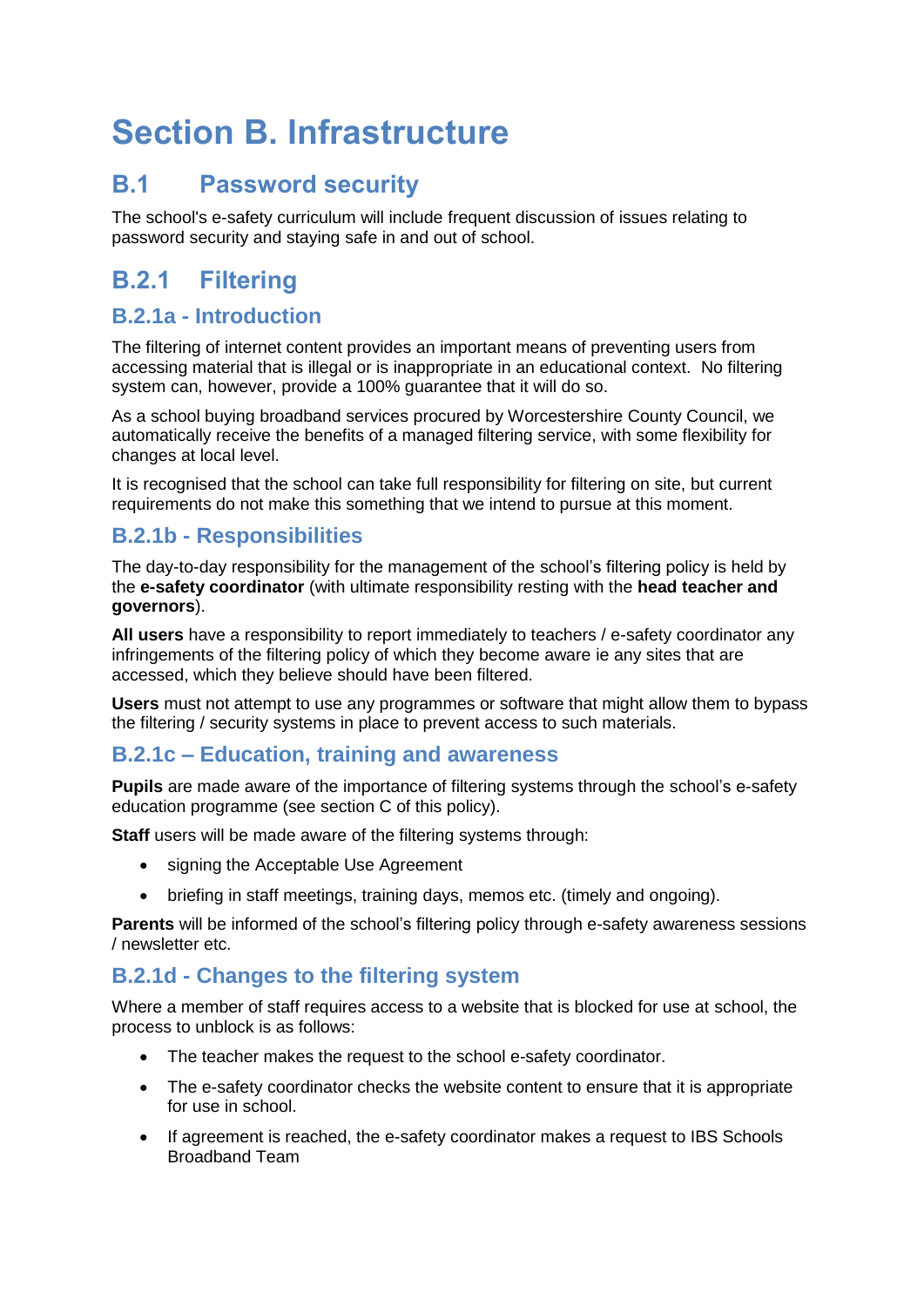# <span id="page-16-0"></span>**Section B. Infrastructure**

## <span id="page-16-1"></span>**B.1 Password security**

The school's e-safety curriculum will include frequent discussion of issues relating to password security and staying safe in and out of school.

## <span id="page-16-2"></span>**B.2.1 Filtering**

#### **B.2.1a - Introduction**

The filtering of internet content provides an important means of preventing users from accessing material that is illegal or is inappropriate in an educational context. No filtering system can, however, provide a 100% guarantee that it will do so.

As a school buying broadband services procured by Worcestershire County Council, we automatically receive the benefits of a managed filtering service, with some flexibility for changes at local level.

It is recognised that the school can take full responsibility for filtering on site, but current requirements do not make this something that we intend to pursue at this moment.

#### **B.2.1b - Responsibilities**

The day-to-day responsibility for the management of the school's filtering policy is held by the **e-safety coordinator** (with ultimate responsibility resting with the **head teacher and governors**).

**All users** have a responsibility to report immediately to teachers / e-safety coordinator any infringements of the filtering policy of which they become aware ie any sites that are accessed, which they believe should have been filtered.

**Users** must not attempt to use any programmes or software that might allow them to bypass the filtering / security systems in place to prevent access to such materials.

#### **B.2.1c – Education, training and awareness**

**Pupils** are made aware of the importance of filtering systems through the school's e-safety education programme (see section C of this policy).

**Staff** users will be made aware of the filtering systems through:

- signing the Acceptable Use Agreement
- briefing in staff meetings, training days, memos etc. (timely and ongoing).

**Parents** will be informed of the school's filtering policy through e-safety awareness sessions / newsletter etc.

#### **B.2.1d - Changes to the filtering system**

Where a member of staff requires access to a website that is blocked for use at school, the process to unblock is as follows:

- The teacher makes the request to the school e-safety coordinator.
- The e-safety coordinator checks the website content to ensure that it is appropriate for use in school.
- If agreement is reached, the e-safety coordinator makes a request to IBS Schools Broadband Team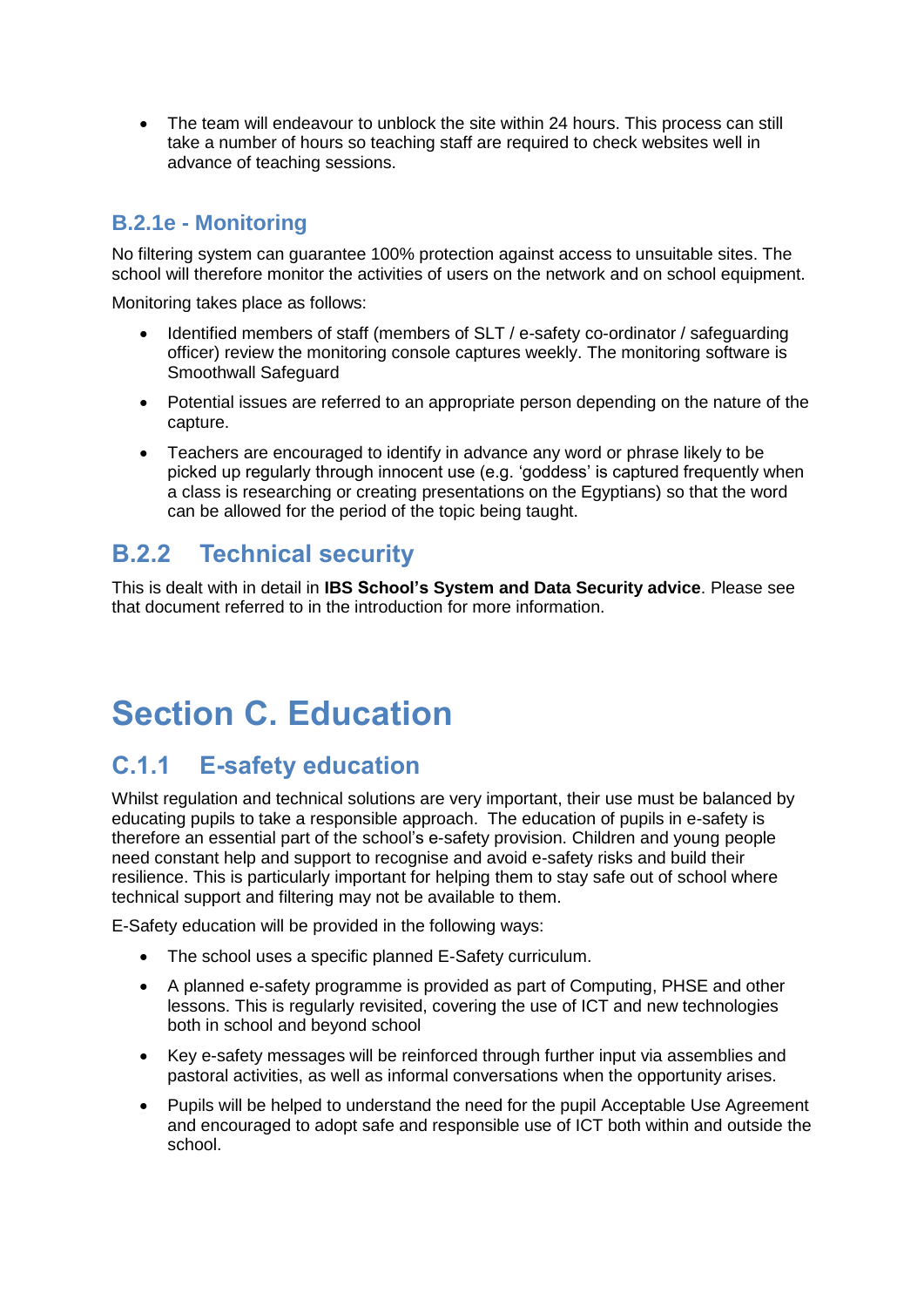• The team will endeavour to unblock the site within 24 hours. This process can still take a number of hours so teaching staff are required to check websites well in advance of teaching sessions.

#### **B.2.1e - Monitoring**

No filtering system can guarantee 100% protection against access to unsuitable sites. The school will therefore monitor the activities of users on the network and on school equipment.

Monitoring takes place as follows:

- Identified members of staff (members of SLT / e-safety co-ordinator / safeguarding officer) review the monitoring console captures weekly. The monitoring software is Smoothwall Safeguard
- Potential issues are referred to an appropriate person depending on the nature of the capture.
- Teachers are encouraged to identify in advance any word or phrase likely to be picked up regularly through innocent use (e.g. 'goddess' is captured frequently when a class is researching or creating presentations on the Egyptians) so that the word can be allowed for the period of the topic being taught.

## <span id="page-17-0"></span>**B.2.2 Technical security**

This is dealt with in detail in **IBS School's System and Data Security advice**. Please see that document referred to in the introduction for more information.

# <span id="page-17-1"></span>**Section C. Education**

## <span id="page-17-2"></span>**C.1.1 E-safety education**

Whilst regulation and technical solutions are very important, their use must be balanced by educating pupils to take a responsible approach. The education of pupils in e-safety is therefore an essential part of the school's e-safety provision. Children and young people need constant help and support to recognise and avoid e-safety risks and build their resilience. This is particularly important for helping them to stay safe out of school where technical support and filtering may not be available to them.

E-Safety education will be provided in the following ways:

- The school uses a specific planned E-Safety curriculum.
- A planned e-safety programme is provided as part of Computing, PHSE and other lessons. This is regularly revisited, covering the use of ICT and new technologies both in school and beyond school
- Key e-safety messages will be reinforced through further input via assemblies and pastoral activities, as well as informal conversations when the opportunity arises.
- Pupils will be helped to understand the need for the pupil Acceptable Use Agreement and encouraged to adopt safe and responsible use of ICT both within and outside the school.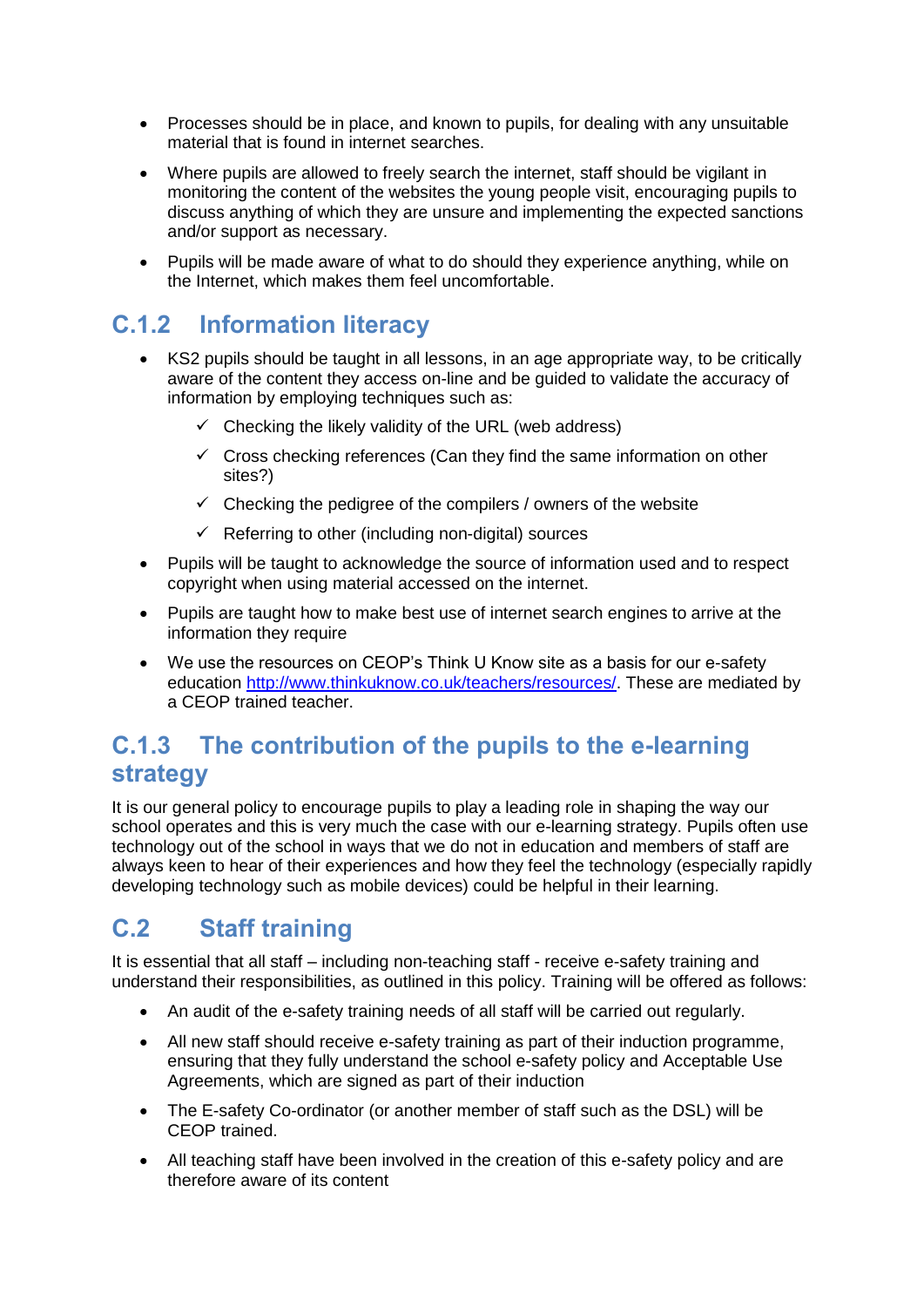- Processes should be in place, and known to pupils, for dealing with any unsuitable material that is found in internet searches.
- Where pupils are allowed to freely search the internet, staff should be vigilant in monitoring the content of the websites the young people visit, encouraging pupils to discuss anything of which they are unsure and implementing the expected sanctions and/or support as necessary.
- Pupils will be made aware of what to do should they experience anything, while on the Internet, which makes them feel uncomfortable.

### <span id="page-18-0"></span>**C.1.2 Information literacy**

- KS2 pupils should be taught in all lessons, in an age appropriate way, to be critically aware of the content they access on-line and be guided to validate the accuracy of information by employing techniques such as:
	- $\checkmark$  Checking the likely validity of the URL (web address)
	- $\checkmark$  Cross checking references (Can they find the same information on other sites?)
	- $\checkmark$  Checking the pedigree of the compilers / owners of the website
	- ✓ Referring to other (including non-digital) sources
- Pupils will be taught to acknowledge the source of information used and to respect copyright when using material accessed on the internet.
- Pupils are taught how to make best use of internet search engines to arrive at the information they require
- We use the resources on CEOP's Think U Know site as a basis for our e-safety education [http://www.thinkuknow.co.uk/teachers/resources/.](http://www.thinkuknow.co.uk/teachers/resources/) These are mediated by a CEOP trained teacher.

### <span id="page-18-1"></span>**C.1.3 The contribution of the pupils to the e-learning strategy**

It is our general policy to encourage pupils to play a leading role in shaping the way our school operates and this is very much the case with our e-learning strategy. Pupils often use technology out of the school in ways that we do not in education and members of staff are always keen to hear of their experiences and how they feel the technology (especially rapidly developing technology such as mobile devices) could be helpful in their learning.

## <span id="page-18-2"></span>**C.2 Staff training**

It is essential that all staff – including non-teaching staff - receive e-safety training and understand their responsibilities, as outlined in this policy. Training will be offered as follows:

- An audit of the e-safety training needs of all staff will be carried out regularly.
- All new staff should receive e-safety training as part of their induction programme, ensuring that they fully understand the school e-safety policy and Acceptable Use Agreements, which are signed as part of their induction
- The E-safety Co-ordinator (or another member of staff such as the DSL) will be CEOP trained.
- All teaching staff have been involved in the creation of this e-safety policy and are therefore aware of its content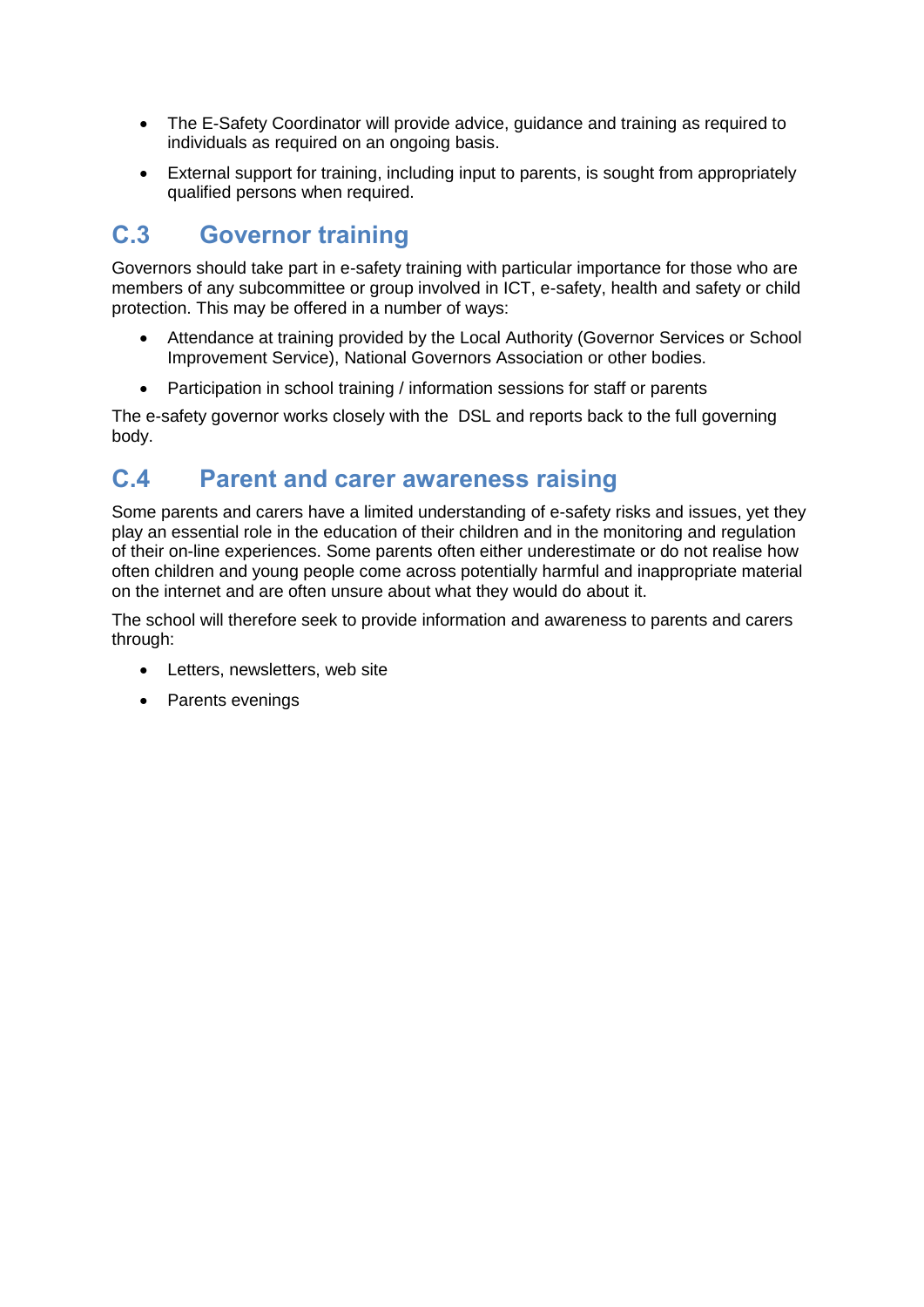- The E-Safety Coordinator will provide advice, guidance and training as required to individuals as required on an ongoing basis.
- External support for training, including input to parents, is sought from appropriately qualified persons when required.

## <span id="page-19-0"></span>**C.3 Governor training**

Governors should take part in e-safety training with particular importance for those who are members of any subcommittee or group involved in ICT, e-safety, health and safety or child protection. This may be offered in a number of ways:

- Attendance at training provided by the Local Authority (Governor Services or School Improvement Service), National Governors Association or other bodies.
- Participation in school training / information sessions for staff or parents

The e-safety governor works closely with the DSL and reports back to the full governing body.

### <span id="page-19-1"></span>**C.4 Parent and carer awareness raising**

Some parents and carers have a limited understanding of e-safety risks and issues, yet they play an essential role in the education of their children and in the monitoring and regulation of their on-line experiences. Some parents often either underestimate or do not realise how often children and young people come across potentially harmful and inappropriate material on the internet and are often unsure about what they would do about it.

The school will therefore seek to provide information and awareness to parents and carers through:

- Letters, newsletters, web site
- Parents evenings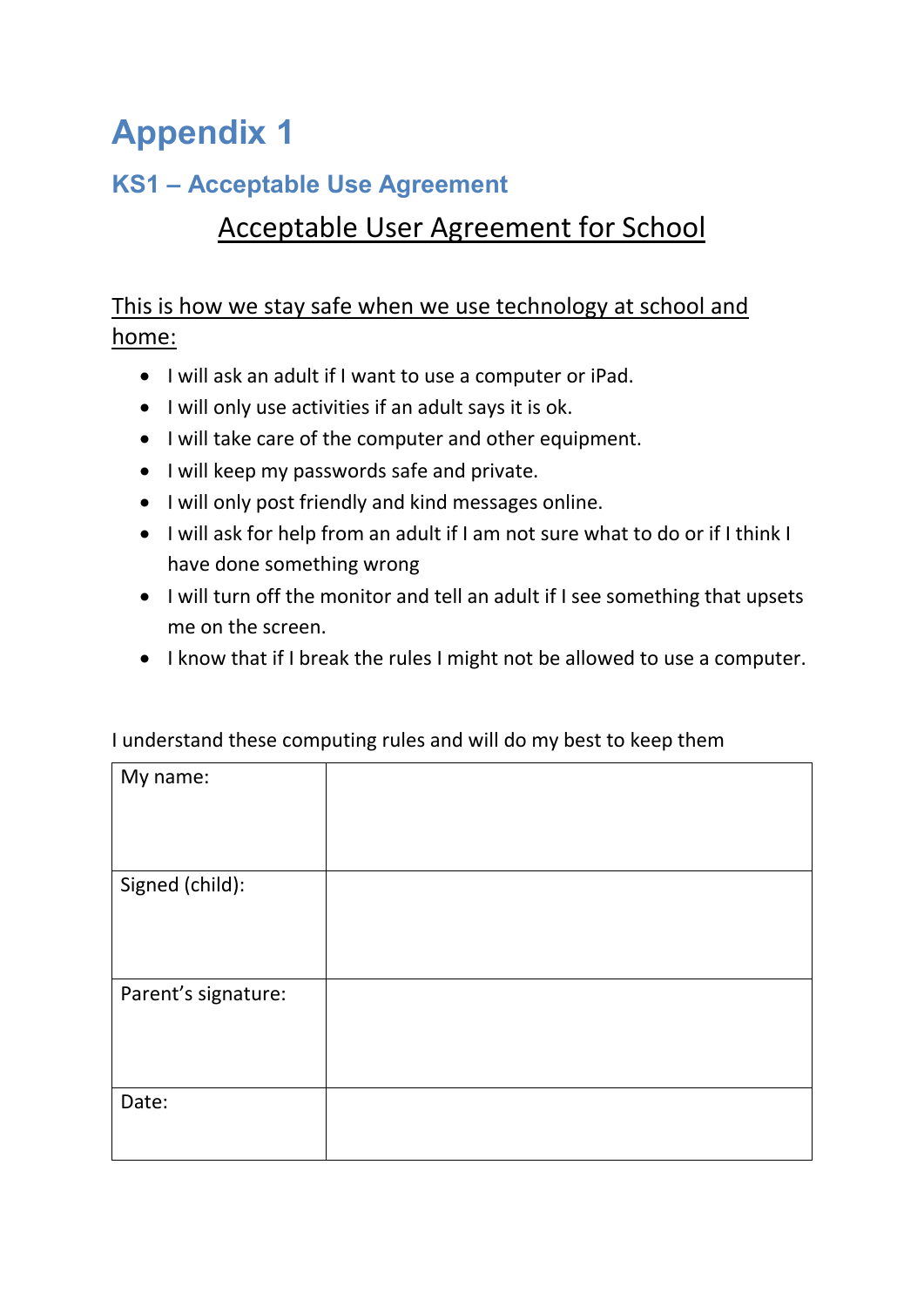# <span id="page-20-0"></span>**Appendix 1**

# <span id="page-20-1"></span>**KS1 – Acceptable Use Agreement**

# Acceptable User Agreement for School

This is how we stay safe when we use technology at school and home:

- I will ask an adult if I want to use a computer or iPad.
- I will only use activities if an adult says it is ok.
- I will take care of the computer and other equipment.
- I will keep my passwords safe and private.
- I will only post friendly and kind messages online.
- I will ask for help from an adult if I am not sure what to do or if I think I have done something wrong
- I will turn off the monitor and tell an adult if I see something that upsets me on the screen.
- I know that if I break the rules I might not be allowed to use a computer.

| My name:            |  |
|---------------------|--|
|                     |  |
| Signed (child):     |  |
|                     |  |
| Parent's signature: |  |
|                     |  |
| Date:               |  |
|                     |  |

I understand these computing rules and will do my best to keep them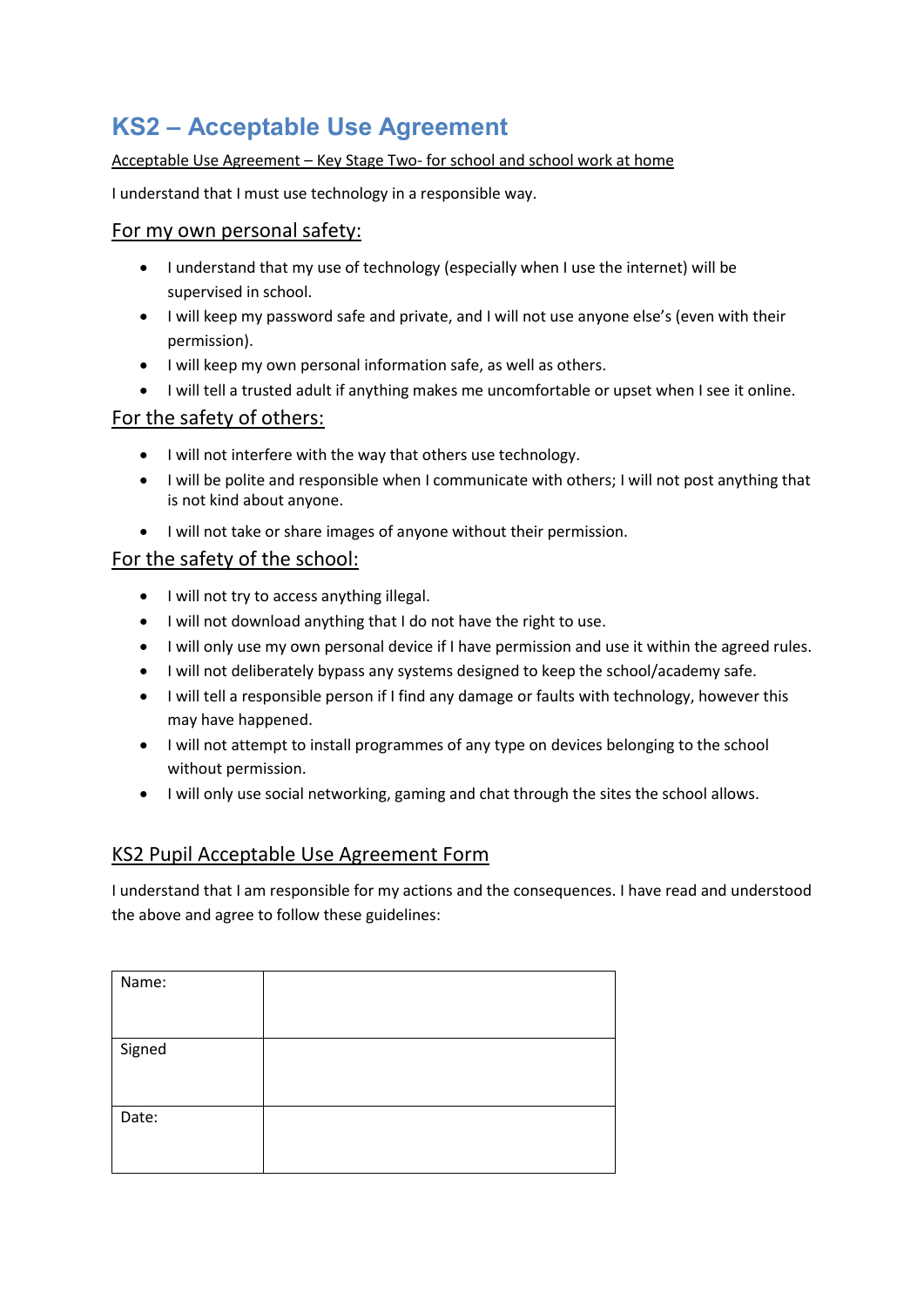# <span id="page-21-0"></span>**KS2 – Acceptable Use Agreement**

#### Acceptable Use Agreement – Key Stage Two- for school and school work at home

I understand that I must use technology in a responsible way.

#### For my own personal safety:

- I understand that my use of technology (especially when I use the internet) will be supervised in school.
- I will keep my password safe and private, and I will not use anyone else's (even with their permission).
- I will keep my own personal information safe, as well as others.
- I will tell a trusted adult if anything makes me uncomfortable or upset when I see it online.

#### For the safety of others:

- I will not interfere with the way that others use technology.
- I will be polite and responsible when I communicate with others; I will not post anything that is not kind about anyone.
- I will not take or share images of anyone without their permission.

#### For the safety of the school:

- I will not try to access anything illegal.
- I will not download anything that I do not have the right to use.
- I will only use my own personal device if I have permission and use it within the agreed rules.
- I will not deliberately bypass any systems designed to keep the school/academy safe.
- I will tell a responsible person if I find any damage or faults with technology, however this may have happened.
- I will not attempt to install programmes of any type on devices belonging to the school without permission.
- I will only use social networking, gaming and chat through the sites the school allows.

#### KS2 Pupil Acceptable Use Agreement Form

I understand that I am responsible for my actions and the consequences. I have read and understood the above and agree to follow these guidelines:

| Name:  |  |
|--------|--|
| Signed |  |
| Date:  |  |